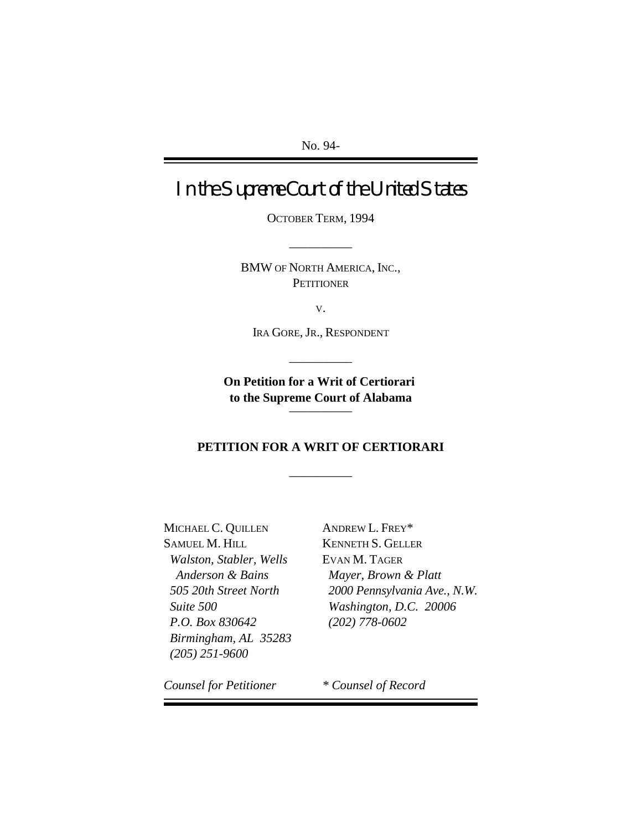No. 94-

In the Supreme Court of the United States

OCTOBER TERM, 1994

\_\_\_\_\_\_\_\_\_\_

BMW OF NORTH AMERICA, INC., **PETITIONER** 

V.

IRA GORE, JR., RESPONDENT

\_\_\_\_\_\_\_\_\_\_

**On Petition for a Writ of Certiorari to the Supreme Court of Alabama**  $\overline{\phantom{a}}$ 

### **PETITION FOR A WRIT OF CERTIORARI**

\_\_\_\_\_\_\_\_\_\_

MICHAEL C. QUILLEN ANDREW L. FREY\* SAMUEL M. HILL KENNETH S. GELLER *Walston, Stabler, Wells* EVAN M. TAGER *P.O. Box 830642 (202) 778-0602 Birmingham, AL 35283 (205) 251-9600*

 *Anderson & Bains Mayer, Brown & Platt 505 20th Street North 2000 Pennsylvania Ave., N.W. Suite 500 Washington, D.C. 20006*

*Counsel for Petitioner \* Counsel of Record*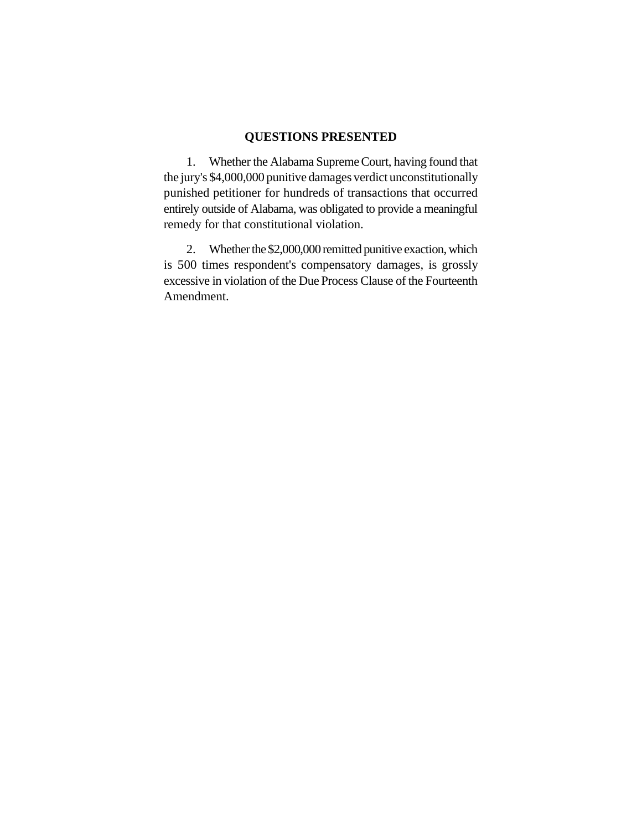### **QUESTIONS PRESENTED**

1. Whether the Alabama Supreme Court, having found that the jury's \$4,000,000 punitive damages verdict unconstitutionally punished petitioner for hundreds of transactions that occurred entirely outside of Alabama, was obligated to provide a meaningful remedy for that constitutional violation.

2. Whether the \$2,000,000 remitted punitive exaction, which is 500 times respondent's compensatory damages, is grossly excessive in violation of the Due Process Clause of the Fourteenth Amendment.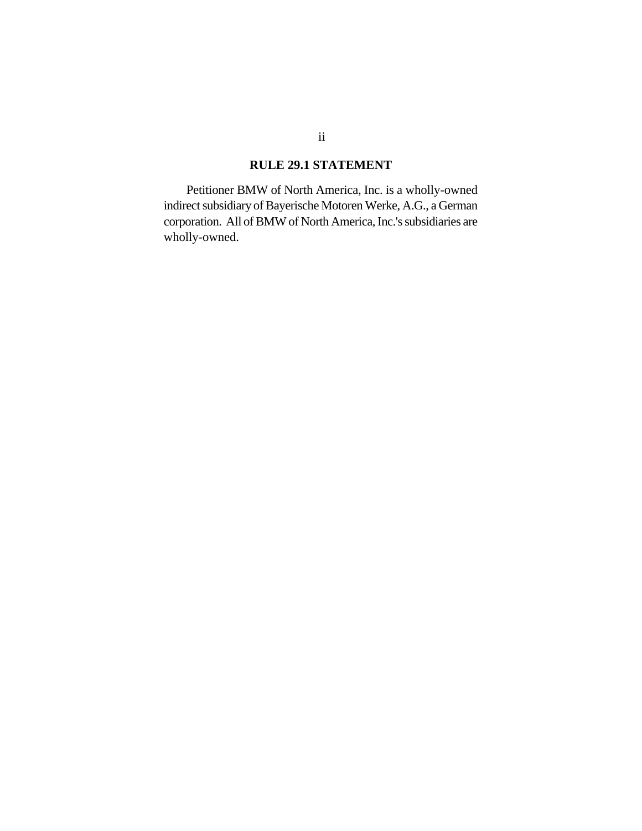### **RULE 29.1 STATEMENT**

Petitioner BMW of North America, Inc. is a wholly-owned indirect subsidiary of Bayerische Motoren Werke, A.G., a German corporation. All of BMW of North America, Inc.'s subsidiaries are wholly-owned.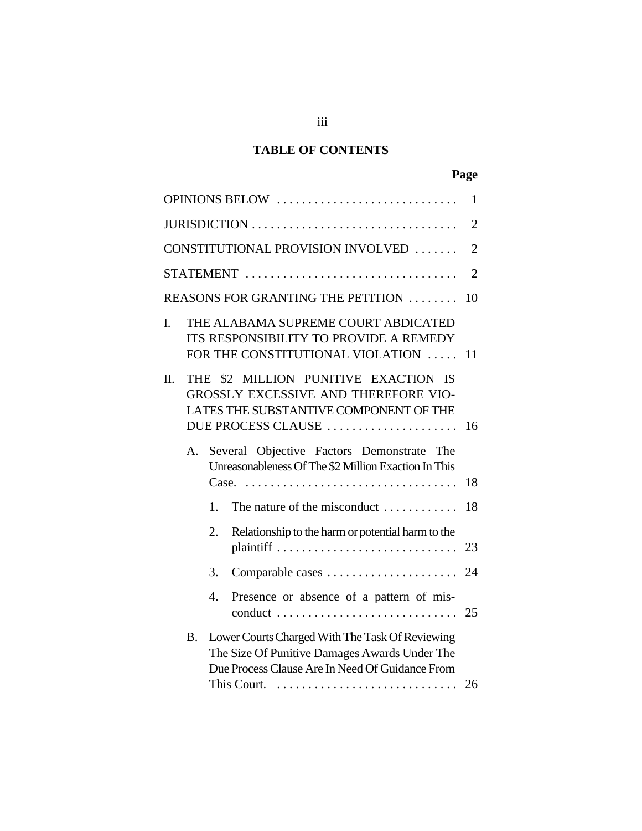# **TABLE OF CONTENTS**

| ×<br>۰. |
|---------|
|---------|

| OPINIONS BELOW<br>$\mathbf{1}$ |                                                                                                                                                 |    |                                                                                                                                                     |                |  |  |
|--------------------------------|-------------------------------------------------------------------------------------------------------------------------------------------------|----|-----------------------------------------------------------------------------------------------------------------------------------------------------|----------------|--|--|
| JURISDICTION                   |                                                                                                                                                 |    |                                                                                                                                                     |                |  |  |
|                                |                                                                                                                                                 |    | CONSTITUTIONAL PROVISION INVOLVED                                                                                                                   | $\overline{2}$ |  |  |
| STATEMENT<br>$\overline{2}$    |                                                                                                                                                 |    |                                                                                                                                                     |                |  |  |
|                                |                                                                                                                                                 |    | REASONS FOR GRANTING THE PETITION                                                                                                                   | 10             |  |  |
| I.                             |                                                                                                                                                 |    | THE ALABAMA SUPREME COURT ABDICATED<br>ITS RESPONSIBILITY TO PROVIDE A REMEDY<br>FOR THE CONSTITUTIONAL VIOLATION                                   | 11             |  |  |
| Π.                             | \$2 MILLION PUNITIVE EXACTION IS<br>THE<br>GROSSLY EXCESSIVE AND THEREFORE VIO-<br>LATES THE SUBSTANTIVE COMPONENT OF THE<br>DUE PROCESS CLAUSE |    |                                                                                                                                                     |                |  |  |
|                                | Several Objective Factors Demonstrate The<br>A.<br>Unreasonableness Of The \$2 Million Exaction In This                                         |    |                                                                                                                                                     |                |  |  |
|                                |                                                                                                                                                 | 1. | The nature of the misconduct                                                                                                                        | 18             |  |  |
|                                |                                                                                                                                                 | 2. | Relationship to the harm or potential harm to the                                                                                                   | 23             |  |  |
|                                |                                                                                                                                                 | 3. | Comparable cases                                                                                                                                    | 24             |  |  |
|                                |                                                                                                                                                 | 4. | Presence or absence of a pattern of mis-                                                                                                            | 25             |  |  |
|                                | <b>B.</b>                                                                                                                                       |    | Lower Courts Charged With The Task Of Reviewing<br>The Size Of Punitive Damages Awards Under The<br>Due Process Clause Are In Need Of Guidance From | 26             |  |  |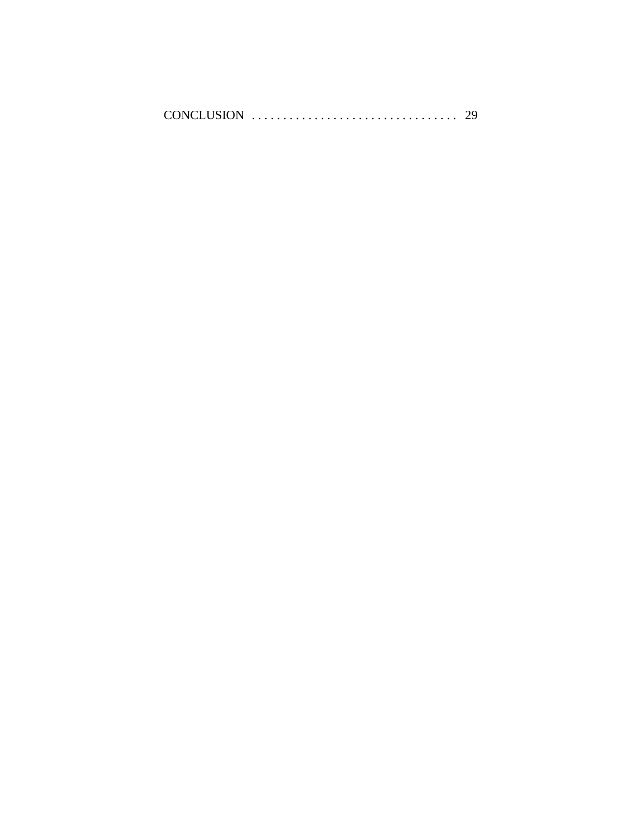|  |  | CONCLUSION |  |
|--|--|------------|--|
|--|--|------------|--|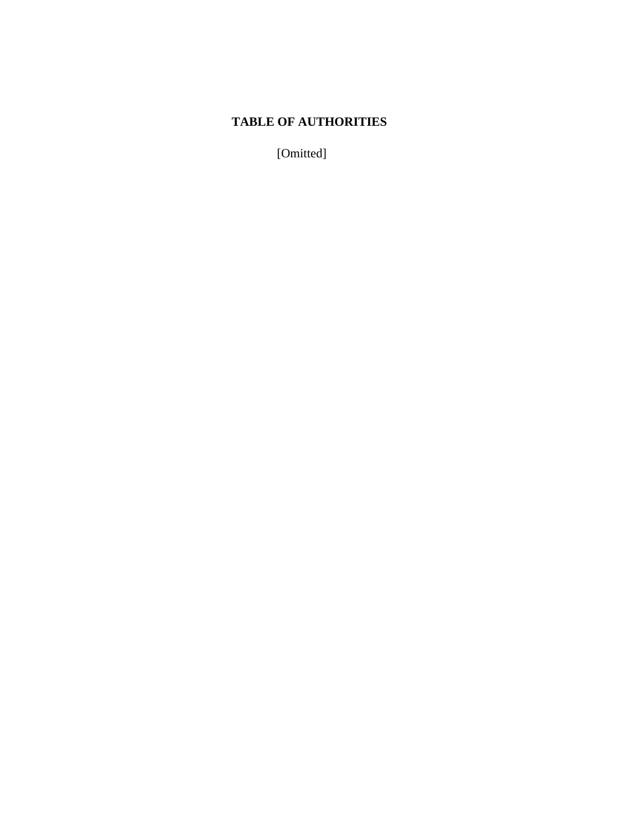# **TABLE OF AUTHORITIES**

[Omitted]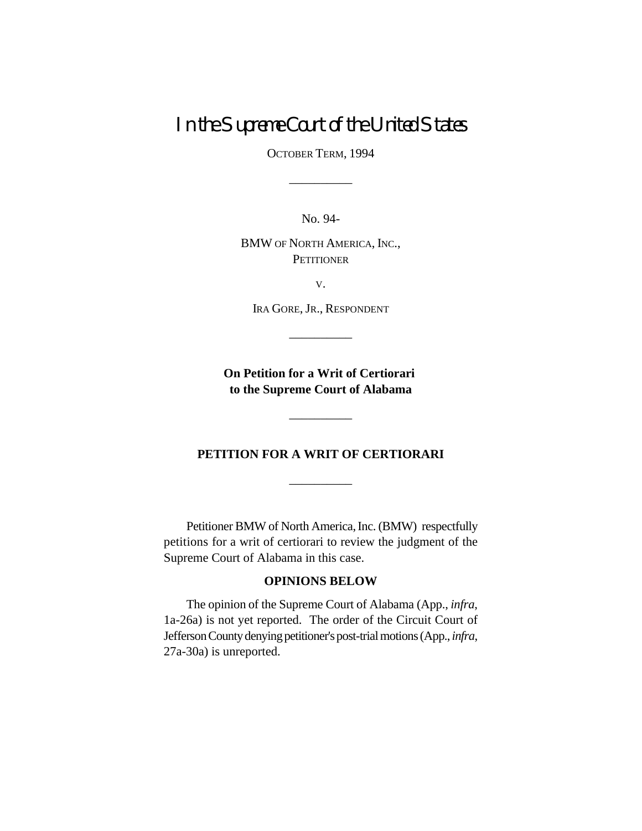# In the Supreme Court of the United States

OCTOBER TERM, 1994

\_\_\_\_\_\_\_\_\_\_

No. 94-

BMW OF NORTH AMERICA, INC., **PETITIONER** 

V.

IRA GORE, JR., RESPONDENT

\_\_\_\_\_\_\_\_\_\_

**On Petition for a Writ of Certiorari to the Supreme Court of Alabama**

### **PETITION FOR A WRIT OF CERTIORARI**

\_\_\_\_\_\_\_\_\_\_

\_\_\_\_\_\_\_\_\_\_

Petitioner BMW of North America, Inc. (BMW) respectfully petitions for a writ of certiorari to review the judgment of the Supreme Court of Alabama in this case.

### **OPINIONS BELOW**

The opinion of the Supreme Court of Alabama (App., *infra*, 1a-26a) is not yet reported. The order of the Circuit Court of Jefferson County denying petitioner'spost-trial motions (App.,*infra*, 27a-30a) is unreported.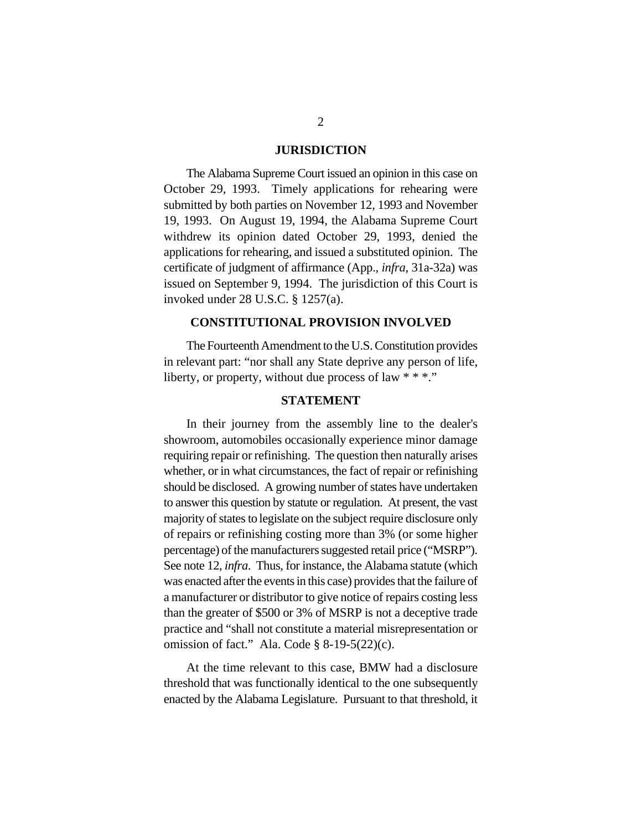#### **JURISDICTION**

The Alabama Supreme Court issued an opinion in this case on October 29, 1993. Timely applications for rehearing were submitted by both parties on November 12, 1993 and November 19, 1993. On August 19, 1994, the Alabama Supreme Court withdrew its opinion dated October 29, 1993, denied the applications for rehearing, and issued a substituted opinion. The certificate of judgment of affirmance (App., *infra*, 31a-32a) was issued on September 9, 1994. The jurisdiction of this Court is invoked under 28 U.S.C. § 1257(a).

#### **CONSTITUTIONAL PROVISION INVOLVED**

The Fourteenth Amendment to the U.S. Constitution provides in relevant part: "nor shall any State deprive any person of life, liberty, or property, without due process of law \* \* \*."

### **STATEMENT**

In their journey from the assembly line to the dealer's showroom, automobiles occasionally experience minor damage requiring repair or refinishing. The question then naturally arises whether, or in what circumstances, the fact of repair or refinishing should be disclosed. A growing number of states have undertaken to answer this question by statute or regulation. At present, the vast majority of states to legislate on the subject require disclosure only of repairs or refinishing costing more than 3% (or some higher percentage) of the manufacturers suggested retail price ("MSRP"). See note 12, *infra*. Thus, for instance, the Alabama statute (which was enacted after the events in this case) provides that the failure of a manufacturer or distributor to give notice of repairs costing less than the greater of \$500 or 3% of MSRP is not a deceptive trade practice and "shall not constitute a material misrepresentation or omission of fact." Ala. Code  $\S$  8-19-5(22)(c).

At the time relevant to this case, BMW had a disclosure threshold that was functionally identical to the one subsequently enacted by the Alabama Legislature. Pursuant to that threshold, it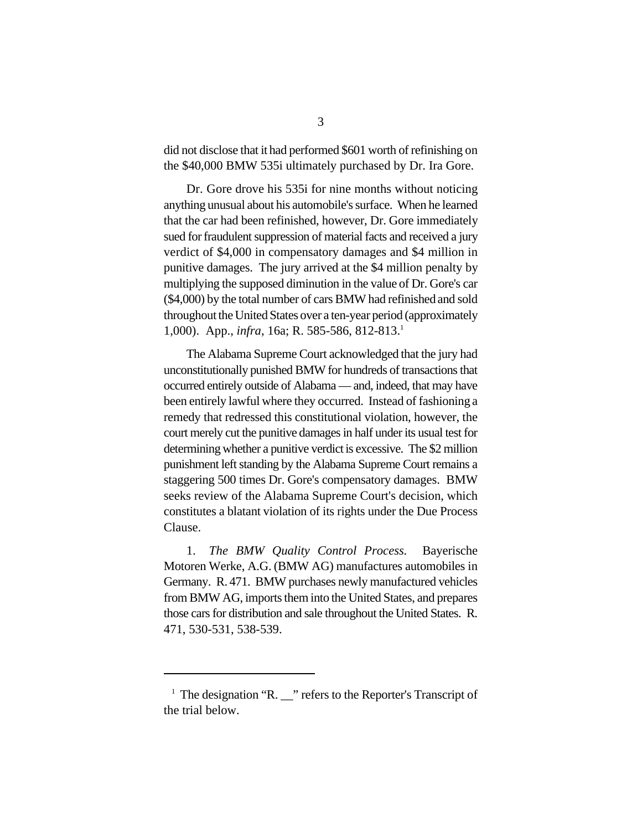did not disclose that it had performed \$601 worth of refinishing on the \$40,000 BMW 535i ultimately purchased by Dr. Ira Gore.

Dr. Gore drove his 535i for nine months without noticing anything unusual about his automobile's surface. When he learned that the car had been refinished, however, Dr. Gore immediately sued for fraudulent suppression of material facts and received a jury verdict of \$4,000 in compensatory damages and \$4 million in punitive damages. The jury arrived at the \$4 million penalty by multiplying the supposed diminution in the value of Dr. Gore's car (\$4,000) by the total number of cars BMW had refinished and sold throughout the United States over a ten-year period (approximately 1,000). App., *infra*, 16a; R. 585-586, 812-813.<sup>1</sup>

The Alabama Supreme Court acknowledged that the jury had unconstitutionally punished BMW for hundreds of transactions that occurred entirely outside of Alabama — and, indeed, that may have been entirely lawful where they occurred. Instead of fashioning a remedy that redressed this constitutional violation, however, the court merely cut the punitive damages in half under its usual test for determining whether a punitive verdict is excessive. The \$2 million punishment left standing by the Alabama Supreme Court remains a staggering 500 times Dr. Gore's compensatory damages. BMW seeks review of the Alabama Supreme Court's decision, which constitutes a blatant violation of its rights under the Due Process Clause.

1. *The BMW Quality Control Process.* Bayerische Motoren Werke, A.G. (BMW AG) manufactures automobiles in Germany. R. 471. BMW purchases newly manufactured vehicles from BMW AG, imports them into the United States, and prepares those cars for distribution and sale throughout the United States. R. 471, 530-531, 538-539.

 $\overline{ }$ <sup>1</sup> The designation "R.  $\overline{ }$ " refers to the Reporter's Transcript of the trial below.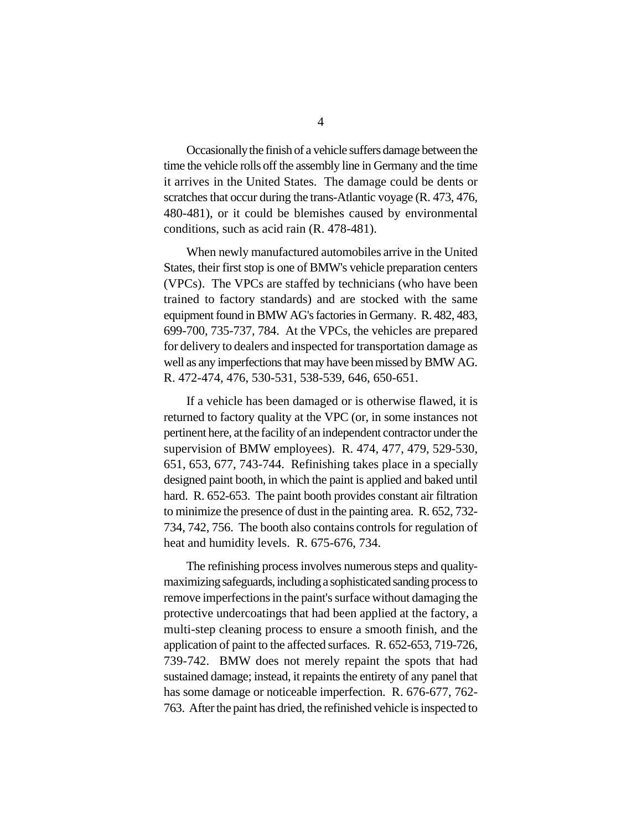Occasionally the finish of a vehicle suffers damage between the time the vehicle rolls off the assembly line in Germany and the time it arrives in the United States. The damage could be dents or scratches that occur during the trans-Atlantic voyage (R. 473, 476, 480-481), or it could be blemishes caused by environmental conditions, such as acid rain (R. 478-481).

When newly manufactured automobiles arrive in the United States, their first stop is one of BMW's vehicle preparation centers (VPCs). The VPCs are staffed by technicians (who have been trained to factory standards) and are stocked with the same equipment found in BMW AG's factories in Germany. R. 482, 483, 699-700, 735-737, 784. At the VPCs, the vehicles are prepared for delivery to dealers and inspected for transportation damage as well as any imperfections that may have been missed by BMW AG. R. 472-474, 476, 530-531, 538-539, 646, 650-651.

If a vehicle has been damaged or is otherwise flawed, it is returned to factory quality at the VPC (or, in some instances not pertinent here, at the facility of an independent contractor under the supervision of BMW employees). R. 474, 477, 479, 529-530, 651, 653, 677, 743-744. Refinishing takes place in a specially designed paint booth, in which the paint is applied and baked until hard. R. 652-653. The paint booth provides constant air filtration to minimize the presence of dust in the painting area. R. 652, 732- 734, 742, 756. The booth also contains controls for regulation of heat and humidity levels. R. 675-676, 734.

The refinishing process involves numerous steps and qualitymaximizing safeguards, including a sophisticated sanding process to remove imperfections in the paint's surface without damaging the protective undercoatings that had been applied at the factory, a multi-step cleaning process to ensure a smooth finish, and the application of paint to the affected surfaces. R. 652-653, 719-726, 739-742. BMW does not merely repaint the spots that had sustained damage; instead, it repaints the entirety of any panel that has some damage or noticeable imperfection. R. 676-677, 762- 763. After the paint has dried, the refinished vehicle is inspected to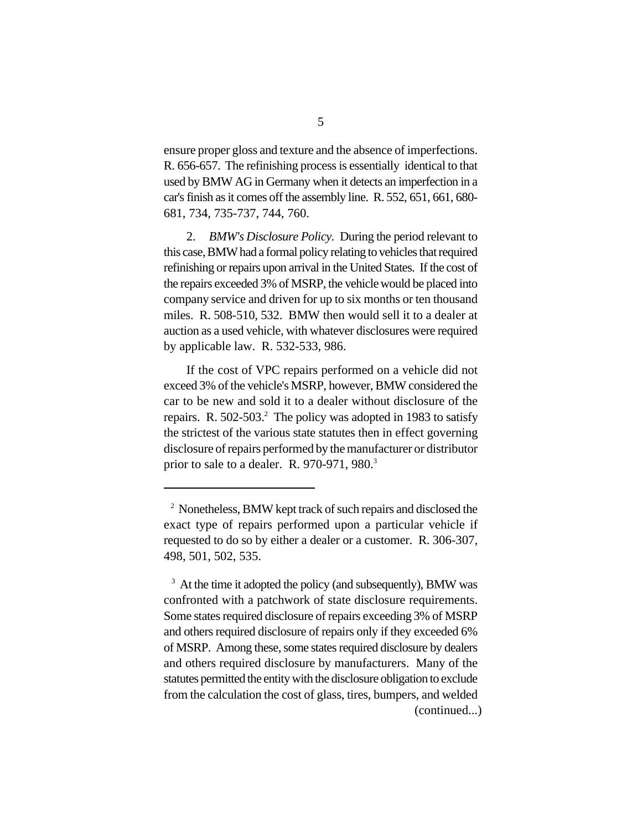ensure proper gloss and texture and the absence of imperfections. R. 656-657. The refinishing process is essentially identical to that used by BMW AG in Germany when it detects an imperfection in a car's finish as it comes off the assembly line. R. 552, 651, 661, 680- 681, 734, 735-737, 744, 760.

2. *BMW's Disclosure Policy.* During the period relevant to this case, BMWhad a formal policy relating to vehicles that required refinishing or repairs upon arrival in the United States. If the cost of the repairs exceeded 3% of MSRP, the vehicle would be placed into company service and driven for up to six months or ten thousand miles. R. 508-510, 532. BMW then would sell it to a dealer at auction as a used vehicle, with whatever disclosures were required by applicable law. R. 532-533, 986.

If the cost of VPC repairs performed on a vehicle did not exceed 3% of the vehicle's MSRP, however, BMW considered the car to be new and sold it to a dealer without disclosure of the repairs. R. 502-503.<sup>2</sup> The policy was adopted in 1983 to satisfy the strictest of the various state statutes then in effect governing disclosure of repairs performed by the manufacturer or distributor prior to sale to a dealer. R. 970-971, 980.<sup>3</sup>

<sup>&</sup>lt;sup>2</sup> Nonetheless, BMW kept track of such repairs and disclosed the exact type of repairs performed upon a particular vehicle if requested to do so by either a dealer or a customer. R. 306-307, 498, 501, 502, 535.

<sup>&</sup>lt;sup>3</sup> At the time it adopted the policy (and subsequently), BMW was confronted with a patchwork of state disclosure requirements. Some states required disclosure of repairs exceeding 3% of MSRP and others required disclosure of repairs only if they exceeded 6% of MSRP. Among these, some states required disclosure by dealers and others required disclosure by manufacturers. Many of the statutes permitted the entity with the disclosure obligation to exclude from the calculation the cost of glass, tires, bumpers, and welded (continued...)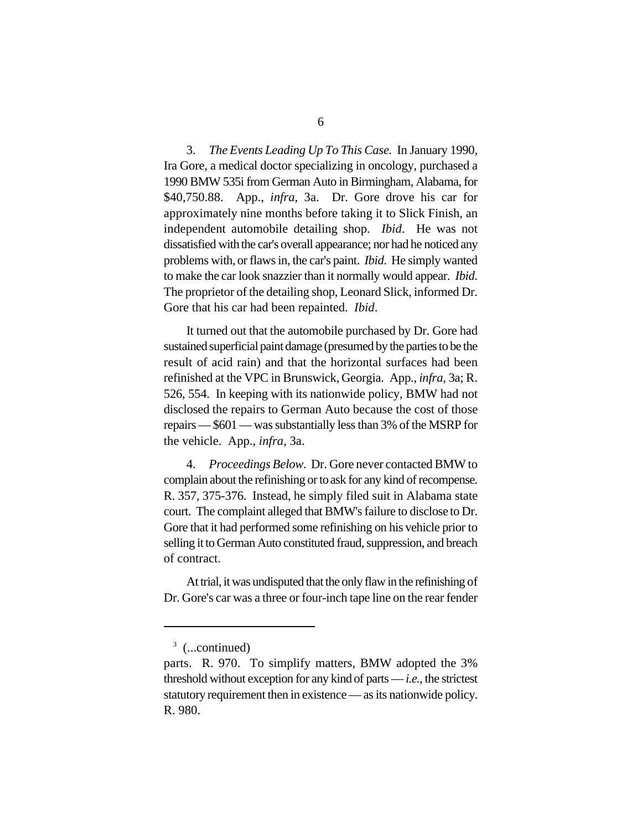3. *The Events Leading Up To This Case.* In January 1990, Ira Gore, a medical doctor specializing in oncology, purchased a 1990 BMW 535i from German Auto in Birmingham, Alabama, for \$40,750.88. App., *infra*, 3a. Dr. Gore drove his car for approximately nine months before taking it to Slick Finish, an independent automobile detailing shop. *Ibid*. He was not dissatisfied with the car's overall appearance; nor had he noticed any problems with, or flaws in, the car's paint. *Ibid*. He simply wanted to make the car look snazzier than it normally would appear. *Ibid*. The proprietor of the detailing shop, Leonard Slick, informed Dr. Gore that his car had been repainted. *Ibid*.

It turned out that the automobile purchased by Dr. Gore had sustained superficial paint damage (presumed by the parties to be the result of acid rain) and that the horizontal surfaces had been refinished at the VPC in Brunswick, Georgia. App., *infra*, 3a; R. 526, 554. In keeping with its nationwide policy, BMW had not disclosed the repairs to German Auto because the cost of those repairs — \$601 — wassubstantially less than 3% of the MSRP for the vehicle. App., *infra*, 3a.

4. *Proceedings Below.* Dr. Gore never contacted BMW to complain about the refinishing or to ask for any kind of recompense. R. 357, 375-376. Instead, he simply filed suit in Alabama state court. The complaint alleged that BMW's failure to disclose to Dr. Gore that it had performed some refinishing on his vehicle prior to selling it to German Auto constituted fraud, suppression, and breach of contract.

At trial, it was undisputed that the only flaw in the refinishing of Dr. Gore's car was a three or four-inch tape line on the rear fender

 $3$  (...continued)

parts. R. 970. To simplify matters, BMW adopted the 3% threshold without exception for any kind of parts — *i.e.*, the strictest statutory requirement then in existence — as its nationwide policy. R. 980.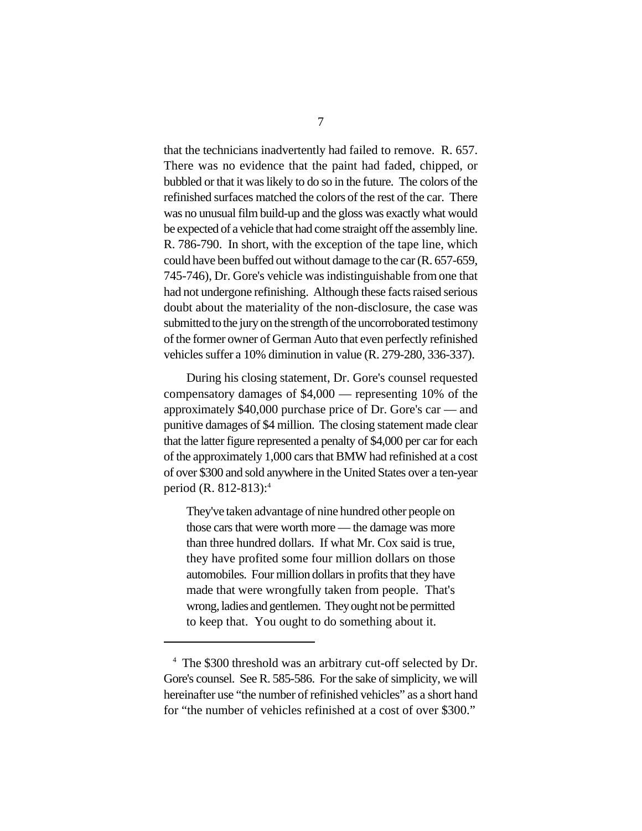that the technicians inadvertently had failed to remove. R. 657. There was no evidence that the paint had faded, chipped, or bubbled or that it was likely to do so in the future. The colors of the refinished surfaces matched the colors of the rest of the car. There was no unusual film build-up and the gloss was exactly what would be expected of a vehicle that had come straight off the assembly line. R. 786-790. In short, with the exception of the tape line, which could have been buffed out without damage to the car (R. 657-659, 745-746), Dr. Gore's vehicle was indistinguishable from one that had not undergone refinishing. Although these facts raised serious doubt about the materiality of the non-disclosure, the case was submitted to the jury on the strength of the uncorroborated testimony of the former owner of German Auto that even perfectly refinished vehicles suffer a 10% diminution in value (R. 279-280, 336-337).

During his closing statement, Dr. Gore's counsel requested compensatory damages of \$4,000 — representing 10% of the approximately \$40,000 purchase price of Dr. Gore's car — and punitive damages of \$4 million. The closing statement made clear that the latter figure represented a penalty of \$4,000 per car for each of the approximately 1,000 cars that BMW had refinished at a cost of over \$300 and sold anywhere in the United States over a ten-year period (R. 812-813):<sup>4</sup>

They've taken advantage of nine hundred other people on those cars that were worth more — the damage was more than three hundred dollars. If what Mr. Cox said is true, they have profited some four million dollars on those automobiles. Four million dollars in profits that they have made that were wrongfully taken from people. That's wrong, ladies and gentlemen. They ought not be permitted to keep that. You ought to do something about it.

<sup>&</sup>lt;sup>4</sup> The \$300 threshold was an arbitrary cut-off selected by Dr. Gore's counsel. See R. 585-586. For the sake of simplicity, we will hereinafter use "the number of refinished vehicles" as a short hand for "the number of vehicles refinished at a cost of over \$300."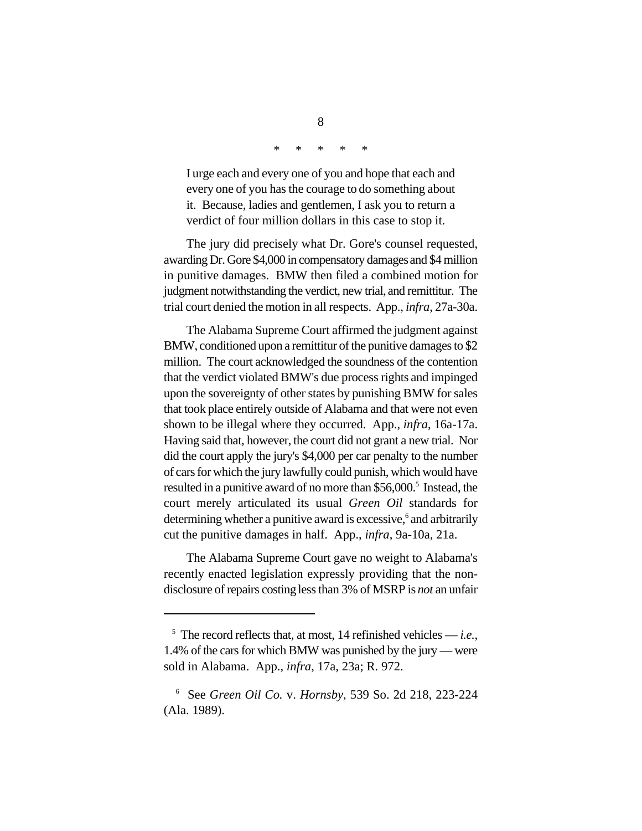\* \* \* \* \*

I urge each and every one of you and hope that each and every one of you has the courage to do something about it. Because, ladies and gentlemen, I ask you to return a verdict of four million dollars in this case to stop it.

The jury did precisely what Dr. Gore's counsel requested, awarding Dr. Gore \$4,000 in compensatory damages and \$4 million in punitive damages. BMW then filed a combined motion for judgment notwithstanding the verdict, new trial, and remittitur. The trial court denied the motion in all respects. App., *infra*, 27a-30a.

The Alabama Supreme Court affirmed the judgment against BMW, conditioned upon a remittitur of the punitive damages to \$2 million. The court acknowledged the soundness of the contention that the verdict violated BMW's due process rights and impinged upon the sovereignty of other states by punishing BMW for sales that took place entirely outside of Alabama and that were not even shown to be illegal where they occurred. App., *infra*, 16a-17a. Having said that, however, the court did not grant a new trial. Nor did the court apply the jury's \$4,000 per car penalty to the number of cars for which the jury lawfully could punish, which would have resulted in a punitive award of no more than \$56,000.<sup>5</sup> Instead, the court merely articulated its usual *Green Oil* standards for determining whether a punitive award is excessive,<sup>6</sup> and arbitrarily cut the punitive damages in half. App., *infra*, 9a-10a, 21a.

The Alabama Supreme Court gave no weight to Alabama's recently enacted legislation expressly providing that the nondisclosure of repairs costing less than 3% of MSRP is *not* an unfair

 $\frac{5}{10}$  The record reflects that, at most, 14 refinished vehicles — *i.e.*, 1.4% of the cars for which BMW was punished by the jury — were sold in Alabama. App., *infra*, 17a, 23a; R. 972.

See *Green Oil Co.* v. *Hornsby*, 539 So. 2d 218, 223-224 6 (Ala. 1989).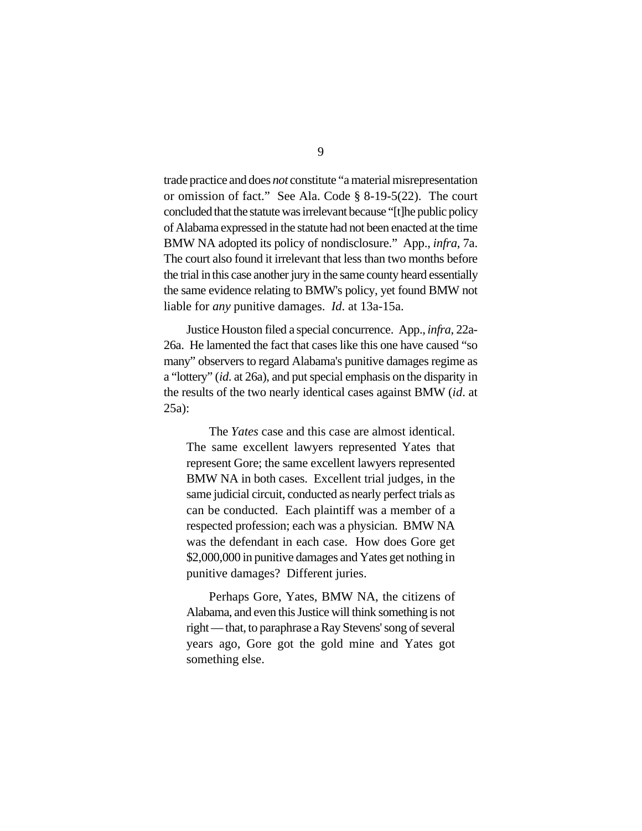trade practice and does *not* constitute "a material misrepresentation or omission of fact." See Ala. Code § 8-19-5(22). The court concluded that the statute was irrelevant because "[t]he public policy of Alabama expressed in the statute had not been enacted at the time BMW NA adopted its policy of nondisclosure." App., *infra*, 7a. The court also found it irrelevant that less than two months before the trial in this case another jury in the same county heard essentially the same evidence relating to BMW's policy, yet found BMW not liable for *any* punitive damages. *Id*. at 13a-15a.

Justice Houston filed a special concurrence. App., *infra*, 22a-26a. He lamented the fact that cases like this one have caused "so many" observers to regard Alabama's punitive damages regime as a "lottery" (*id*. at 26a), and put special emphasis on the disparity in the results of the two nearly identical cases against BMW (*id*. at 25a):

The *Yates* case and this case are almost identical. The same excellent lawyers represented Yates that represent Gore; the same excellent lawyers represented BMW NA in both cases. Excellent trial judges, in the same judicial circuit, conducted as nearly perfect trials as can be conducted. Each plaintiff was a member of a respected profession; each was a physician. BMW NA was the defendant in each case. How does Gore get \$2,000,000 in punitive damages and Yates get nothing in punitive damages? Different juries.

Perhaps Gore, Yates, BMW NA, the citizens of Alabama, and even this Justice will think something is not right — that, to paraphrase a Ray Stevens' song of several years ago, Gore got the gold mine and Yates got something else.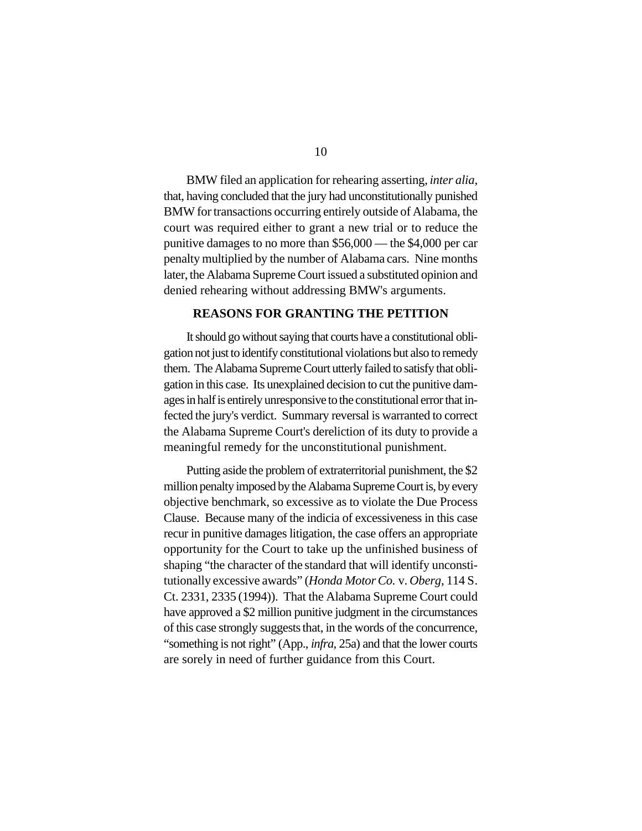BMW filed an application for rehearing asserting, *inter alia*, that, having concluded that the jury had unconstitutionally punished BMW for transactions occurring entirely outside of Alabama, the court was required either to grant a new trial or to reduce the punitive damages to no more than \$56,000 — the \$4,000 per car penalty multiplied by the number of Alabama cars. Nine months later, the Alabama Supreme Court issued a substituted opinion and denied rehearing without addressing BMW's arguments.

#### **REASONS FOR GRANTING THE PETITION**

It should go without saying that courts have a constitutional obligation not just to identify constitutional violations but also to remedy them. The Alabama Supreme Court utterly failed to satisfy that obligation in this case. Its unexplained decision to cut the punitive damages in half is entirely unresponsive to the constitutional error that infected the jury's verdict. Summary reversal is warranted to correct the Alabama Supreme Court's dereliction of its duty to provide a meaningful remedy for the unconstitutional punishment.

Putting aside the problem of extraterritorial punishment, the \$2 million penalty imposed by the Alabama Supreme Court is, by every objective benchmark, so excessive as to violate the Due Process Clause. Because many of the indicia of excessiveness in this case recur in punitive damages litigation, the case offers an appropriate opportunity for the Court to take up the unfinished business of shaping "the character of the standard that will identify unconstitutionally excessive awards" (*Honda Motor Co.* v. *Oberg*, 114 S. Ct. 2331, 2335 (1994)). That the Alabama Supreme Court could have approved a \$2 million punitive judgment in the circumstances of this case strongly suggests that, in the words of the concurrence, "something is not right" (App., *infra*, 25a) and that the lower courts are sorely in need of further guidance from this Court.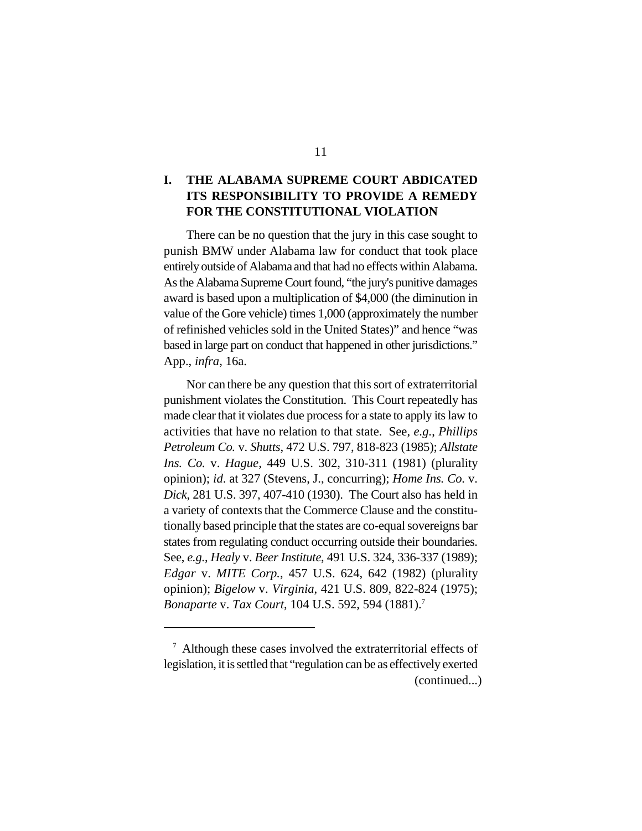### **I. THE ALABAMA SUPREME COURT ABDICATED ITS RESPONSIBILITY TO PROVIDE A REMEDY FOR THE CONSTITUTIONAL VIOLATION**

There can be no question that the jury in this case sought to punish BMW under Alabama law for conduct that took place entirely outside of Alabama and that had no effects within Alabama. As the Alabama Supreme Court found, "the jury's punitive damages award is based upon a multiplication of \$4,000 (the diminution in value of the Gore vehicle) times 1,000 (approximately the number of refinished vehicles sold in the United States)" and hence "was based in large part on conduct that happened in other jurisdictions." App., *infra*, 16a.

Nor can there be any question that this sort of extraterritorial punishment violates the Constitution. This Court repeatedly has made clear that it violates due process for a state to apply its law to activities that have no relation to that state. See, *e.g.*, *Phillips Petroleum Co.* v. *Shutts*, 472 U.S. 797, 818-823 (1985); *Allstate Ins. Co.* v. *Hague*, 449 U.S. 302, 310-311 (1981) (plurality opinion); *id*. at 327 (Stevens, J., concurring); *Home Ins. Co.* v. *Dick*, 281 U.S. 397, 407-410 (1930). The Court also has held in a variety of contexts that the Commerce Clause and the constitutionally based principle that the states are co-equal sovereigns bar states from regulating conduct occurring outside their boundaries. See, *e.g.*, *Healy* v. *Beer Institute*, 491 U.S. 324, 336-337 (1989); *Edgar* v. *MITE Corp.*, 457 U.S. 624, 642 (1982) (plurality opinion); *Bigelow* v. *Virginia*, 421 U.S. 809, 822-824 (1975); *Bonaparte* v. *Tax Court*, 104 U.S. 592, 594 (1881).<sup>7</sup>

 $\alpha$  Although these cases involved the extraterritorial effects of legislation, it is settled that "regulation can be as effectively exerted (continued...)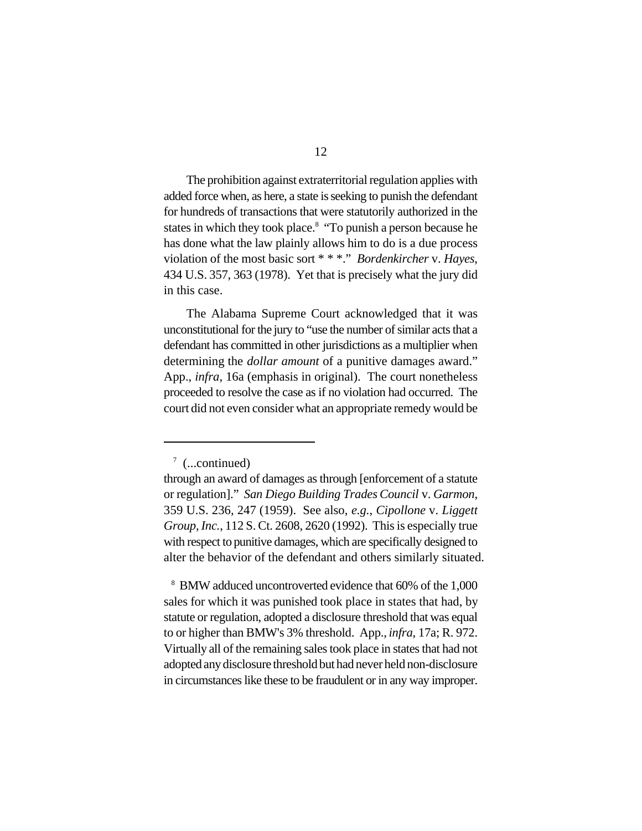The prohibition against extraterritorial regulation applies with added force when, as here, a state is seeking to punish the defendant for hundreds of transactions that were statutorily authorized in the states in which they took place.<sup>8</sup> "To punish a person because he has done what the law plainly allows him to do is a due process violation of the most basic sort \* \* \*." *Bordenkircher* v. *Hayes*, 434 U.S. 357, 363 (1978). Yet that is precisely what the jury did in this case.

The Alabama Supreme Court acknowledged that it was unconstitutional for the jury to "use the number of similar acts that a defendant has committed in other jurisdictions as a multiplier when determining the *dollar amount* of a punitive damages award." App., *infra*, 16a (emphasis in original). The court nonetheless proceeded to resolve the case as if no violation had occurred. The court did not even consider what an appropriate remedy would be

 $\frac{7}{ }$  (...continued)

through an award of damages as through [enforcement of a statute or regulation]." *San Diego Building Trades Council* v. *Garmon*, 359 U.S. 236, 247 (1959). See also, *e.g.*, *Cipollone* v. *Liggett Group, Inc.*, 112 S. Ct. 2608, 2620 (1992). This is especially true with respect to punitive damages, which are specifically designed to alter the behavior of the defendant and others similarly situated.

<sup>&</sup>lt;sup>8</sup> BMW adduced uncontroverted evidence that 60% of the 1,000 sales for which it was punished took place in states that had, by statute or regulation, adopted a disclosure threshold that was equal to or higher than BMW's 3% threshold. App., *infra*, 17a; R. 972. Virtually all of the remaining sales took place in states that had not adopted any disclosure threshold but had never held non-disclosure in circumstances like these to be fraudulent or in any way improper.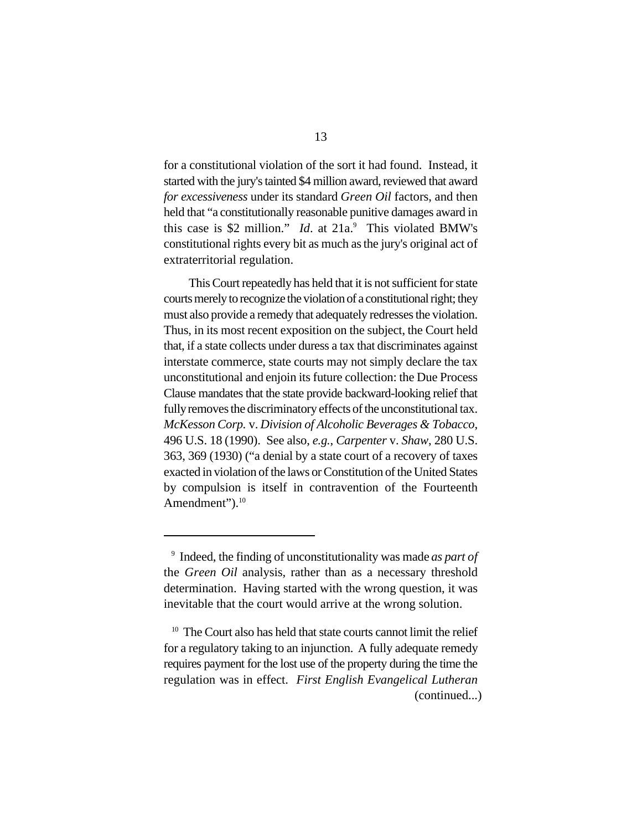for a constitutional violation of the sort it had found. Instead, it started with the jury's tainted \$4 million award, reviewed that award *for excessiveness* under its standard *Green Oil* factors, and then held that "a constitutionally reasonable punitive damages award in this case is \$2 million." *Id.* at  $21a$ . This violated BMW's constitutional rights every bit as much as the jury's original act of extraterritorial regulation.

 This Court repeatedly has held that it is not sufficient for state courts merely to recognize the violation of a constitutional right; they must also provide a remedy that adequately redresses the violation. Thus, in its most recent exposition on the subject, the Court held that, if a state collects under duress a tax that discriminates against interstate commerce, state courts may not simply declare the tax unconstitutional and enjoin its future collection: the Due Process Clause mandates that the state provide backward-looking relief that fully removes the discriminatory effects of the unconstitutional tax. *McKesson Corp.* v. *Division of Alcoholic Beverages & Tobacco*, 496 U.S. 18 (1990). See also, *e.g.*, *Carpenter* v. *Shaw*, 280 U.S. 363, 369 (1930) ("a denial by a state court of a recovery of taxes exacted in violation of the laws or Constitution of the United States by compulsion is itself in contravention of the Fourteenth Amendment").<sup>10</sup>

<sup>&</sup>lt;sup>9</sup> Indeed, the finding of unconstitutionality was made *as part of* the *Green Oil* analysis, rather than as a necessary threshold determination. Having started with the wrong question, it was inevitable that the court would arrive at the wrong solution.

 $10$  The Court also has held that state courts cannot limit the relief for a regulatory taking to an injunction. A fully adequate remedy requires payment for the lost use of the property during the time the regulation was in effect. *First English Evangelical Lutheran* (continued...)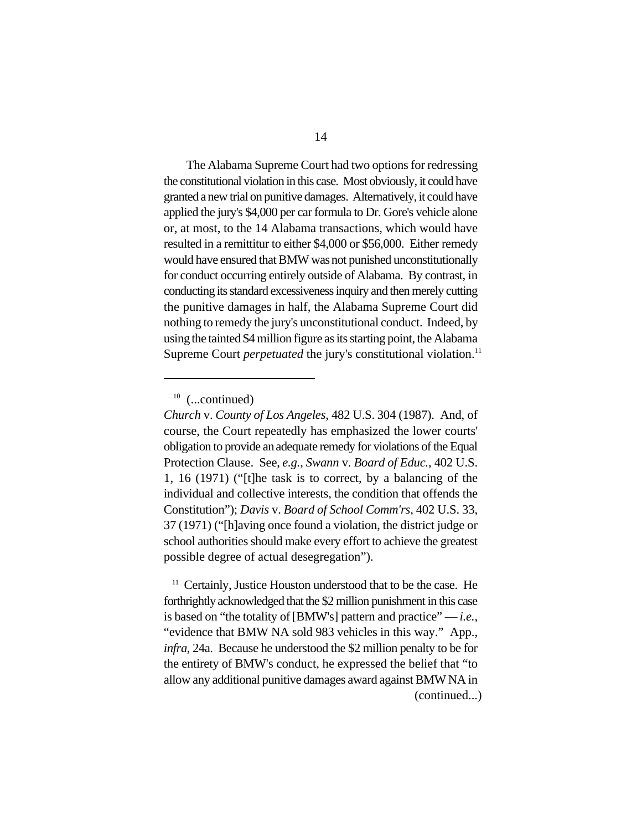The Alabama Supreme Court had two options for redressing the constitutional violation in this case. Most obviously, it could have granted a new trial on punitive damages. Alternatively, it could have applied the jury's \$4,000 per car formula to Dr. Gore's vehicle alone or, at most, to the 14 Alabama transactions, which would have resulted in a remittitur to either \$4,000 or \$56,000. Either remedy would have ensured that BMW was not punished unconstitutionally for conduct occurring entirely outside of Alabama. By contrast, in conducting its standard excessiveness inquiry and then merely cutting the punitive damages in half, the Alabama Supreme Court did nothing to remedy the jury's unconstitutional conduct. Indeed, by using the tainted \$4 million figure as its starting point, the Alabama Supreme Court *perpetuated* the jury's constitutional violation.<sup>11</sup>

 $11$  Certainly, Justice Houston understood that to be the case. He forthrightly acknowledged that the \$2 million punishment in this case is based on "the totality of [BMW's] pattern and practice"  $-i.e.,$ "evidence that BMW NA sold 983 vehicles in this way." App., *infra*, 24a. Because he understood the \$2 million penalty to be for the entirety of BMW's conduct, he expressed the belief that "to allow any additional punitive damages award against BMW NA in (continued...)

 $10$  (...continued)

*Church* v. *County of Los Angeles*, 482 U.S. 304 (1987). And, of course, the Court repeatedly has emphasized the lower courts' obligation to provide an adequate remedy for violations of the Equal Protection Clause. See, *e.g.*, *Swann* v. *Board of Educ.*, 402 U.S. 1, 16 (1971) ("[t]he task is to correct, by a balancing of the individual and collective interests, the condition that offends the Constitution"); *Davis* v. *Board of School Comm'rs*, 402 U.S. 33, 37 (1971) ("[h]aving once found a violation, the district judge or school authorities should make every effort to achieve the greatest possible degree of actual desegregation").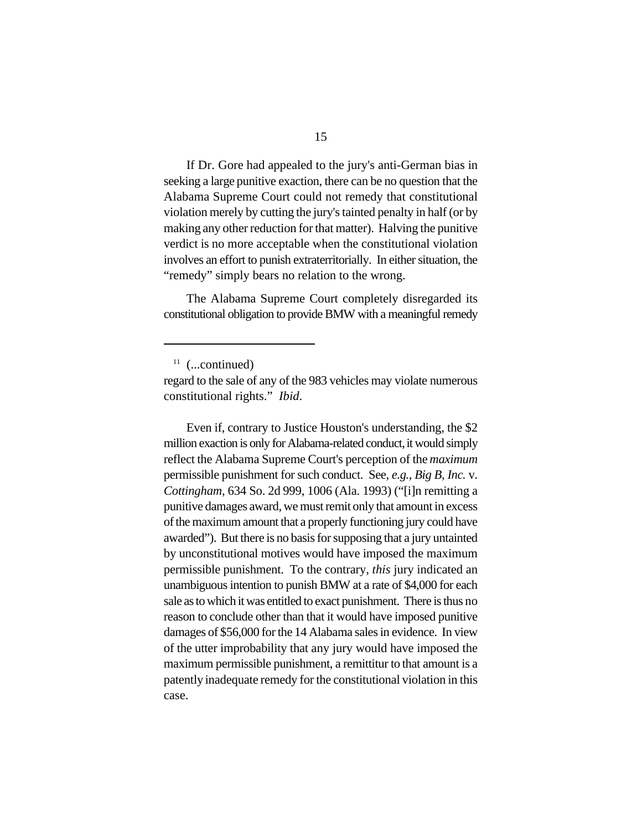If Dr. Gore had appealed to the jury's anti-German bias in seeking a large punitive exaction, there can be no question that the Alabama Supreme Court could not remedy that constitutional violation merely by cutting the jury's tainted penalty in half (or by making any other reduction for that matter). Halving the punitive verdict is no more acceptable when the constitutional violation involves an effort to punish extraterritorially. In either situation, the "remedy" simply bears no relation to the wrong.

The Alabama Supreme Court completely disregarded its constitutional obligation to provide BMW with a meaningful remedy

Even if, contrary to Justice Houston's understanding, the \$2 million exaction is only for Alabama-related conduct, it would simply reflect the Alabama Supreme Court's perception of the *maximum* permissible punishment for such conduct. See, *e.g.*, *Big B, Inc.* v. *Cottingham*, 634 So. 2d 999, 1006 (Ala. 1993) ("[i]n remitting a punitive damages award, we must remit only that amount in excess of the maximum amount that a properly functioning jury could have awarded"). But there is no basis for supposing that a jury untainted by unconstitutional motives would have imposed the maximum permissible punishment. To the contrary, *this* jury indicated an unambiguous intention to punish BMW at a rate of \$4,000 for each sale as to which it was entitled to exact punishment. There is thus no reason to conclude other than that it would have imposed punitive damages of \$56,000 for the 14 Alabama sales in evidence. In view of the utter improbability that any jury would have imposed the maximum permissible punishment, a remittitur to that amount is a patently inadequate remedy for the constitutional violation in this case.

 $11$  (...continued)

regard to the sale of any of the 983 vehicles may violate numerous constitutional rights." *Ibid*.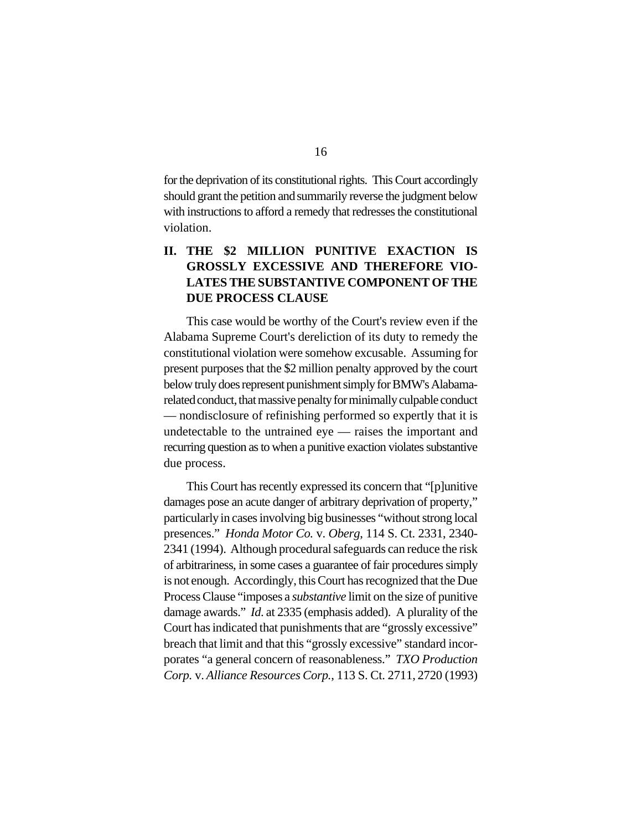for the deprivation of its constitutional rights. This Court accordingly should grant the petition and summarily reverse the judgment below with instructions to afford a remedy that redresses the constitutional violation.

# **II. THE \$2 MILLION PUNITIVE EXACTION IS GROSSLY EXCESSIVE AND THEREFORE VIO-LATES THE SUBSTANTIVE COMPONENT OF THE DUE PROCESS CLAUSE**

This case would be worthy of the Court's review even if the Alabama Supreme Court's dereliction of its duty to remedy the constitutional violation were somehow excusable. Assuming for present purposes that the \$2 million penalty approved by the court below truly does represent punishment simply for BMW's Alabamarelated conduct, that massive penalty for minimally culpable conduct — nondisclosure of refinishing performed so expertly that it is undetectable to the untrained eye — raises the important and recurring question as to when a punitive exaction violates substantive due process.

This Court has recently expressed its concern that "[p]unitive damages pose an acute danger of arbitrary deprivation of property," particularly in cases involving big businesses "without strong local presences." *Honda Motor Co.* v. *Oberg*, 114 S. Ct. 2331, 2340- 2341 (1994). Although procedural safeguards can reduce the risk of arbitrariness, in some cases a guarantee of fair procedures simply is not enough. Accordingly, thisCourt has recognized that the Due Process Clause "imposes a *substantive* limit on the size of punitive damage awards." *Id*. at 2335 (emphasis added). A plurality of the Court hasindicated that punishments that are "grossly excessive" breach that limit and that this "grossly excessive" standard incorporates "a general concern of reasonableness." *TXO Production Corp.* v. *Alliance Resources Corp.*, 113 S. Ct. 2711, 2720 (1993)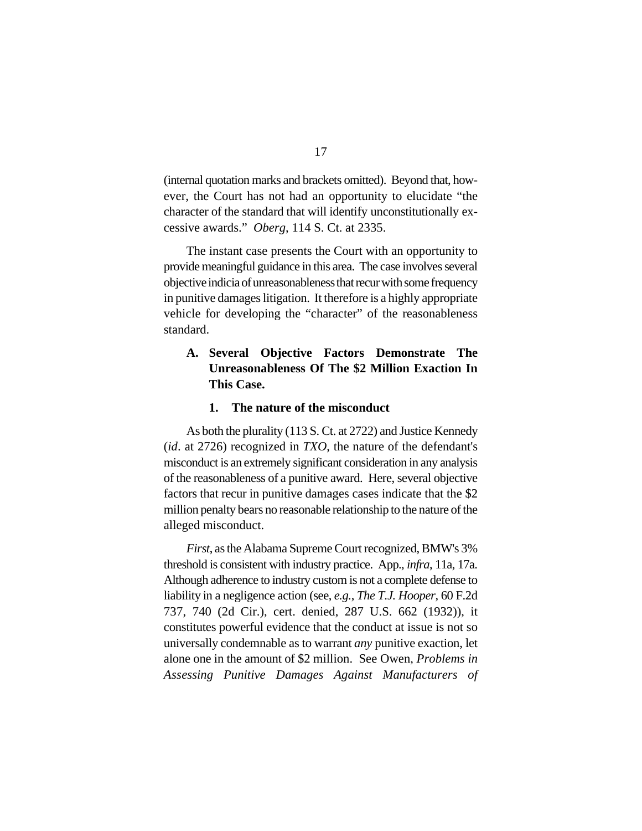(internal quotation marks and brackets omitted). Beyond that, however, the Court has not had an opportunity to elucidate "the character of the standard that will identify unconstitutionally excessive awards." *Oberg*, 114 S. Ct. at 2335.

The instant case presents the Court with an opportunity to providemeaningful guidance in this area. The case involves several objective indicia of unreasonablenessthat recur with some frequency in punitive damages litigation. It therefore is a highly appropriate vehicle for developing the "character" of the reasonableness standard.

### **A. Several Objective Factors Demonstrate The Unreasonableness Of The \$2 Million Exaction In This Case.**

#### **1. The nature of the misconduct**

As both the plurality (113 S. Ct. at 2722) and Justice Kennedy (*id*. at 2726) recognized in *TXO*, the nature of the defendant's misconduct is an extremely significant consideration in any analysis of the reasonableness of a punitive award. Here, several objective factors that recur in punitive damages cases indicate that the \$2 million penalty bears no reasonable relationship to the nature of the alleged misconduct.

*First*, as the Alabama Supreme Court recognized, BMW's 3% threshold is consistent with industry practice. App., *infra*, 11a, 17a. Although adherence to industry custom is not a complete defense to liability in a negligence action (see, *e.g.*, *The T.J. Hooper*, 60 F.2d 737, 740 (2d Cir.), cert. denied, 287 U.S. 662 (1932)), it constitutes powerful evidence that the conduct at issue is not so universally condemnable as to warrant *any* punitive exaction, let alone one in the amount of \$2 million. See Owen, *Problems in Assessing Punitive Damages Against Manufacturers of*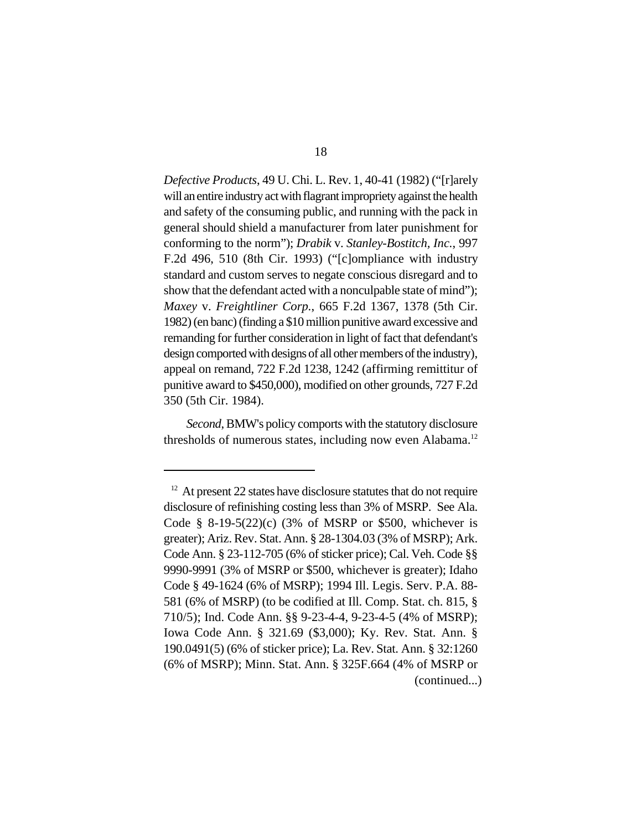*Defective Products*, 49 U. Chi. L. Rev. 1, 40-41 (1982) ("[r]arely will an entire industry act with flagrant impropriety against the health and safety of the consuming public, and running with the pack in general should shield a manufacturer from later punishment for conforming to the norm"); *Drabik* v. *Stanley-Bostitch, Inc.*, 997 F.2d 496, 510 (8th Cir. 1993) ("[c]ompliance with industry standard and custom serves to negate conscious disregard and to show that the defendant acted with a nonculpable state of mind"); *Maxey* v. *Freightliner Corp.*, 665 F.2d 1367, 1378 (5th Cir. 1982) (en banc) (finding a \$10 million punitive award excessive and remanding for further consideration in light of fact that defendant's design comported with designs of all other members of the industry), appeal on remand, 722 F.2d 1238, 1242 (affirming remittitur of punitive award to \$450,000), modified on other grounds, 727 F.2d 350 (5th Cir. 1984).

*Second*, BMW's policy comports with the statutory disclosure thresholds of numerous states, including now even Alabama.<sup>12</sup>

 $12$  At present 22 states have disclosure statutes that do not require disclosure of refinishing costing less than 3% of MSRP. See Ala. Code § 8-19-5(22)(c) (3% of MSRP or \$500, whichever is greater); Ariz. Rev. Stat. Ann. § 28-1304.03 (3% of MSRP); Ark. Code Ann. § 23-112-705 (6% of sticker price); Cal. Veh. Code §§ 9990-9991 (3% of MSRP or \$500, whichever is greater); Idaho Code § 49-1624 (6% of MSRP); 1994 Ill. Legis. Serv. P.A. 88- 581 (6% of MSRP) (to be codified at Ill. Comp. Stat. ch. 815, § 710/5); Ind. Code Ann. §§ 9-23-4-4, 9-23-4-5 (4% of MSRP); Iowa Code Ann. § 321.69 (\$3,000); Ky. Rev. Stat. Ann. § 190.0491(5) (6% of sticker price); La. Rev. Stat. Ann. § 32:1260 (6% of MSRP); Minn. Stat. Ann. § 325F.664 (4% of MSRP or (continued...)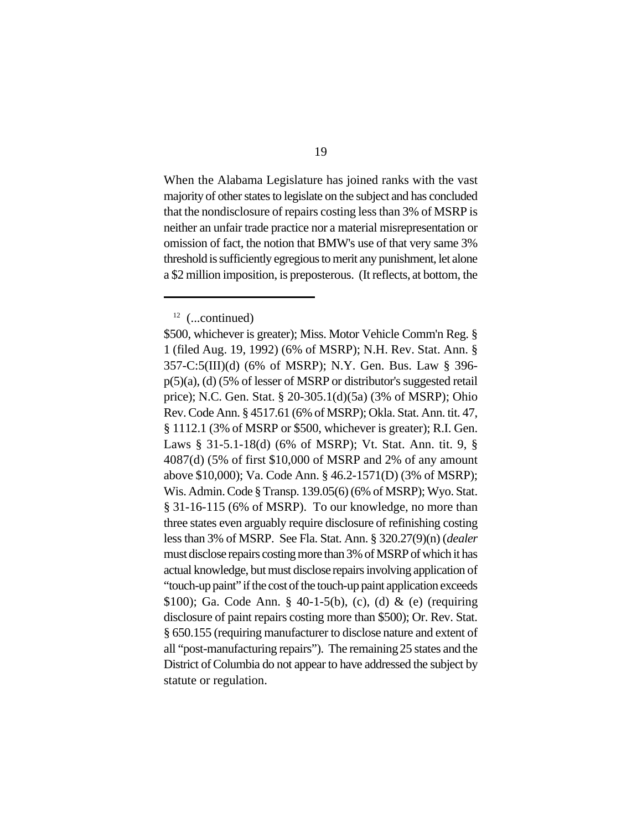When the Alabama Legislature has joined ranks with the vast majority of other states to legislate on the subject and has concluded that the nondisclosure of repairs costing less than 3% of MSRP is neither an unfair trade practice nor a material misrepresentation or omission of fact, the notion that BMW's use of that very same 3% threshold is sufficiently egregious to merit any punishment, let alone a \$2 million imposition, is preposterous. (It reflects, at bottom, the

 $12$  (...continued)

<sup>\$500,</sup> whichever is greater); Miss. Motor Vehicle Comm'n Reg. § 1 (filed Aug. 19, 1992) (6% of MSRP); N.H. Rev. Stat. Ann. § 357-C:5(III)(d) (6% of MSRP); N.Y. Gen. Bus. Law § 396 p(5)(a), (d) (5% of lesser of MSRP or distributor's suggested retail price); N.C. Gen. Stat. § 20-305.1(d)(5a) (3% of MSRP); Ohio Rev. Code Ann. § 4517.61 (6% of MSRP); Okla. Stat. Ann. tit. 47, § 1112.1 (3% of MSRP or \$500, whichever is greater); R.I. Gen. Laws § 31-5.1-18(d) (6% of MSRP); Vt. Stat. Ann. tit. 9, § 4087(d) (5% of first \$10,000 of MSRP and 2% of any amount above \$10,000); Va. Code Ann. § 46.2-1571(D) (3% of MSRP); Wis. Admin. Code §Transp. 139.05(6) (6% of MSRP); Wyo. Stat. § 31-16-115 (6% of MSRP). To our knowledge, no more than three states even arguably require disclosure of refinishing costing less than 3% of MSRP. See Fla. Stat. Ann. § 320.27(9)(n) (*dealer* must disclose repairs costing more than 3% of MSRP of which it has actual knowledge, but must disclose repairs involving application of "touch-up paint" if the cost of the touch-up paint application exceeds \$100); Ga. Code Ann. § 40-1-5(b), (c), (d) & (e) (requiring disclosure of paint repairs costing more than \$500); Or. Rev. Stat. § 650.155 (requiring manufacturer to disclose nature and extent of all "post-manufacturing repairs"). The remaining 25 states and the District of Columbia do not appear to have addressed the subject by statute or regulation.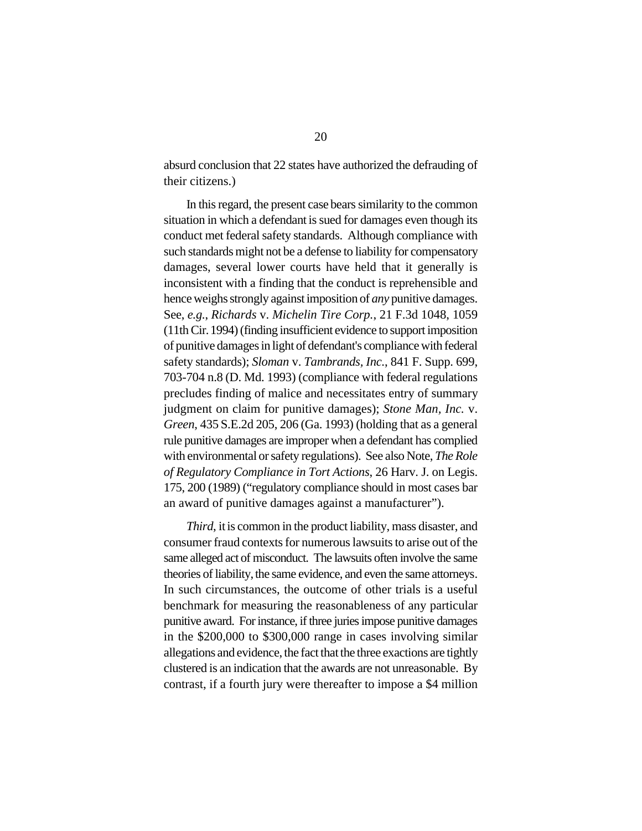absurd conclusion that 22 states have authorized the defrauding of their citizens.)

In this regard, the present case bears similarity to the common situation in which a defendant is sued for damages even though its conduct met federal safety standards. Although compliance with such standards might not be a defense to liability for compensatory damages, several lower courts have held that it generally is inconsistent with a finding that the conduct is reprehensible and hence weighs strongly against imposition of *any* punitive damages. See, *e.g.*, *Richards* v. *Michelin Tire Corp.*, 21 F.3d 1048, 1059 (11th Cir. 1994) (finding insufficient evidence to support imposition of punitive damages in light of defendant's compliance with federal safety standards); *Sloman* v. *Tambrands, Inc.*, 841 F. Supp. 699, 703-704 n.8 (D. Md. 1993) (compliance with federal regulations precludes finding of malice and necessitates entry of summary judgment on claim for punitive damages); *Stone Man, Inc.* v. *Green*, 435 S.E.2d 205, 206 (Ga. 1993) (holding that as a general rule punitive damages are improper when a defendant has complied with environmental orsafety regulations). See also Note, *The Role of Regulatory Compliance in Tort Actions*, 26 Harv. J. on Legis. 175, 200 (1989) ("regulatory compliance should in most cases bar an award of punitive damages against a manufacturer").

*Third*, it is common in the product liability, mass disaster, and consumer fraud contexts for numerous lawsuits to arise out of the same alleged act of misconduct. The lawsuits often involve the same theories of liability, the same evidence, and even the same attorneys. In such circumstances, the outcome of other trials is a useful benchmark for measuring the reasonableness of any particular punitive award. For instance, if three juries impose punitive damages in the \$200,000 to \$300,000 range in cases involving similar allegations and evidence, the fact that the three exactions are tightly clustered is an indication that the awards are not unreasonable. By contrast, if a fourth jury were thereafter to impose a \$4 million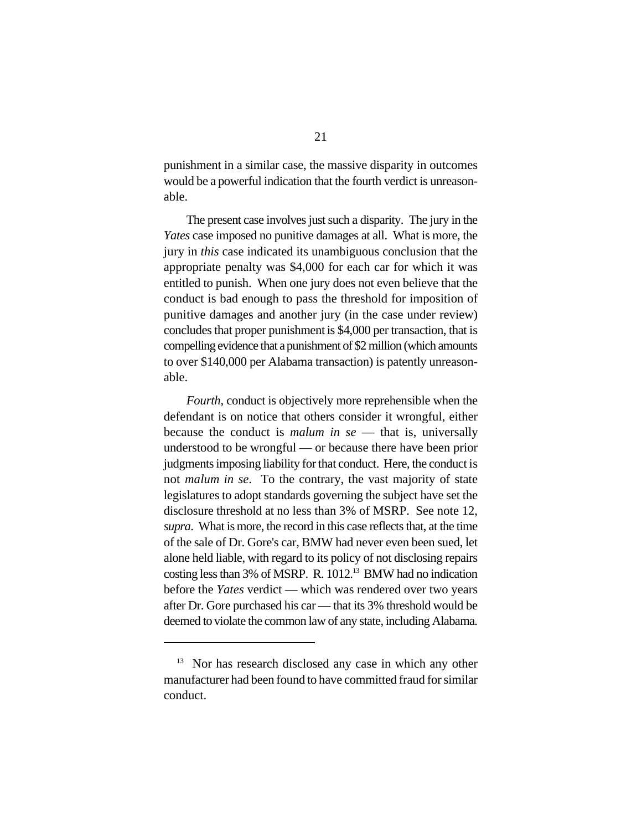punishment in a similar case, the massive disparity in outcomes would be a powerful indication that the fourth verdict is unreasonable.

The present case involves just such a disparity. The jury in the *Yates* case imposed no punitive damages at all. What is more, the jury in *this* case indicated its unambiguous conclusion that the appropriate penalty was \$4,000 for each car for which it was entitled to punish. When one jury does not even believe that the conduct is bad enough to pass the threshold for imposition of punitive damages and another jury (in the case under review) concludes that proper punishment is \$4,000 per transaction, that is compelling evidence that a punishment of \$2 million (which amounts to over \$140,000 per Alabama transaction) is patently unreasonable.

*Fourth*, conduct is objectively more reprehensible when the defendant is on notice that others consider it wrongful, either because the conduct is *malum in se* — that is, universally understood to be wrongful — or because there have been prior judgments imposing liability for that conduct. Here, the conduct is not *malum in se*. To the contrary, the vast majority of state legislatures to adopt standards governing the subject have set the disclosure threshold at no less than 3% of MSRP. See note 12, *supra*. What is more, the record in this case reflects that, at the time of the sale of Dr. Gore's car, BMW had never even been sued, let alone held liable, with regard to its policy of not disclosing repairs costing less than 3% of MSRP. R. 1012.<sup>13</sup> BMW had no indication before the *Yates* verdict — which was rendered over two years after Dr. Gore purchased his car — that its 3% threshold would be deemed to violate the common law of any state, including Alabama.

 $13$  Nor has research disclosed any case in which any other manufacturer had been found to have committed fraud for similar conduct.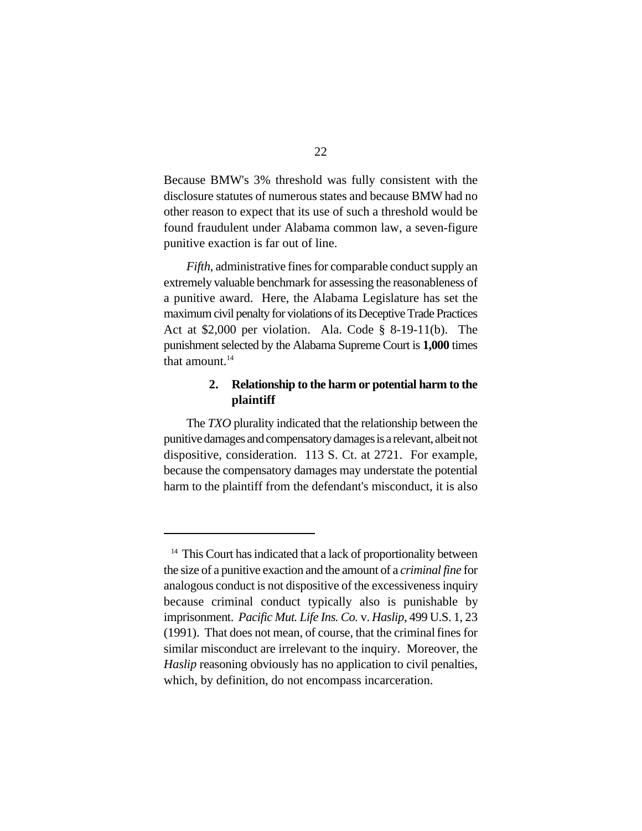Because BMW's 3% threshold was fully consistent with the disclosure statutes of numerous states and because BMW had no other reason to expect that its use of such a threshold would be found fraudulent under Alabama common law, a seven-figure punitive exaction is far out of line.

*Fifth*, administrative fines for comparable conduct supply an extremely valuable benchmark for assessing the reasonableness of a punitive award. Here, the Alabama Legislature has set the maximum civil penalty for violations of its Deceptive Trade Practices Act at \$2,000 per violation. Ala. Code § 8-19-11(b). The punishment selected by the Alabama Supreme Court is **1,000** times that amount.<sup>14</sup>

### **2. Relationship to the harm or potential harm to the plaintiff**

The *TXO* plurality indicated that the relationship between the punitive damages and compensatory damages is a relevant, albeit not dispositive, consideration. 113 S. Ct. at 2721. For example, because the compensatory damages may understate the potential harm to the plaintiff from the defendant's misconduct, it is also

 $14$  This Court has indicated that a lack of proportionality between the size of a punitive exaction and the amount of a *criminal fine* for analogous conduct is not dispositive of the excessiveness inquiry because criminal conduct typically also is punishable by imprisonment. *Pacific Mut. Life Ins. Co.* v. *Haslip*, 499 U.S. 1, 23 (1991). That does not mean, of course, that the criminal fines for similar misconduct are irrelevant to the inquiry. Moreover, the *Haslip* reasoning obviously has no application to civil penalties, which, by definition, do not encompass incarceration.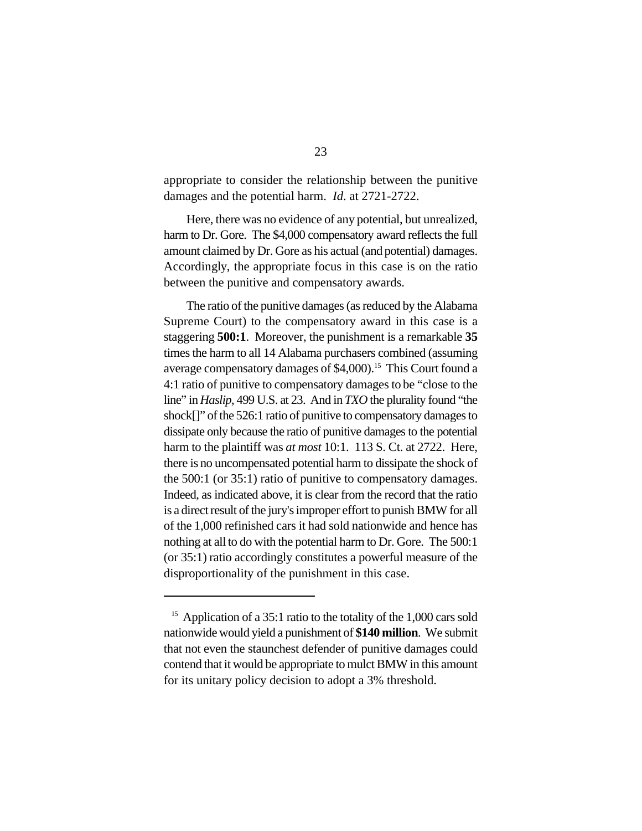appropriate to consider the relationship between the punitive damages and the potential harm. *Id*. at 2721-2722.

Here, there was no evidence of any potential, but unrealized, harm to Dr. Gore. The \$4,000 compensatory award reflects the full amount claimed by Dr. Gore as his actual (and potential) damages. Accordingly, the appropriate focus in this case is on the ratio between the punitive and compensatory awards.

The ratio of the punitive damages (as reduced by the Alabama Supreme Court) to the compensatory award in this case is a staggering **500:1**. Moreover, the punishment is a remarkable **35** times the harm to all 14 Alabama purchasers combined (assuming average compensatory damages of \$4,000).<sup>15</sup> This Court found a 4:1 ratio of punitive to compensatory damages to be "close to the line" in *Haslip*, 499 U.S. at 23. And in *TXO* the plurality found "the shock<sup>[]"</sup> of the 526:1 ratio of punitive to compensatory damages to dissipate only because the ratio of punitive damages to the potential harm to the plaintiff was *at most* 10:1. 113 S. Ct. at 2722. Here, there is no uncompensated potential harm to dissipate the shock of the 500:1 (or 35:1) ratio of punitive to compensatory damages. Indeed, as indicated above, it is clear from the record that the ratio is a direct result of the jury's improper effort to punish BMW for all of the 1,000 refinished cars it had sold nationwide and hence has nothing at all to do with the potential harm to Dr. Gore. The 500:1 (or 35:1) ratio accordingly constitutes a powerful measure of the disproportionality of the punishment in this case.

 $15$  Application of a 35:1 ratio to the totality of the 1,000 cars sold nationwide would yield a punishment of **\$140 million**. We submit that not even the staunchest defender of punitive damages could contend that it would be appropriate to mulct BMW in this amount for its unitary policy decision to adopt a 3% threshold.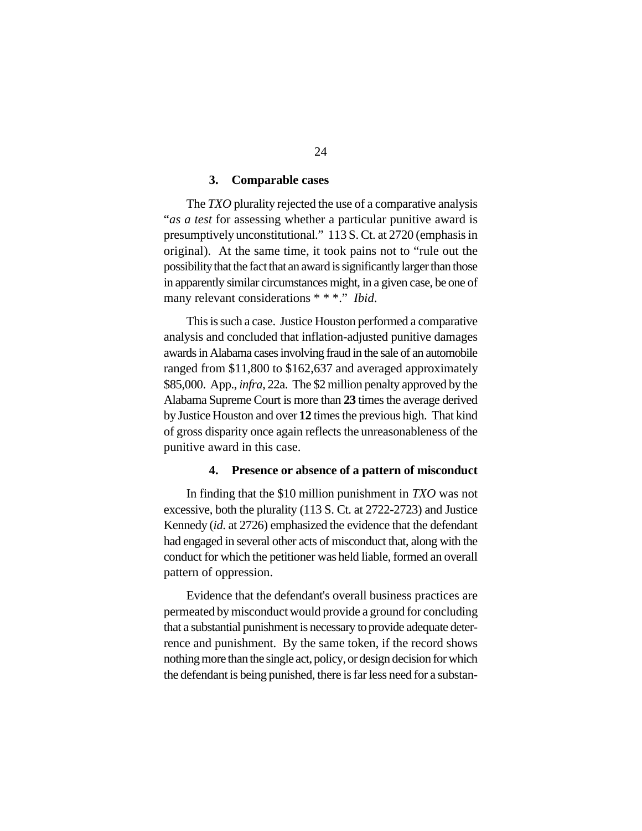#### **3. Comparable cases**

The *TXO* plurality rejected the use of a comparative analysis "*as a test* for assessing whether a particular punitive award is presumptively unconstitutional." 113 S. Ct. at 2720 (emphasis in original). At the same time, it took pains not to "rule out the possibility that the fact that an award is significantly larger than those in apparently similar circumstances might, in a given case, be one of many relevant considerations \* \* \*." *Ibid*.

This is such a case. Justice Houston performed a comparative analysis and concluded that inflation-adjusted punitive damages awards in Alabama cases involving fraud in the sale of an automobile ranged from \$11,800 to \$162,637 and averaged approximately \$85,000. App., *infra*, 22a. The \$2 million penalty approved by the Alabama Supreme Court is more than **23** times the average derived by Justice Houston and over **12** times the previous high. That kind of gross disparity once again reflects the unreasonableness of the punitive award in this case.

#### **4. Presence or absence of a pattern of misconduct**

In finding that the \$10 million punishment in *TXO* was not excessive, both the plurality (113 S. Ct. at 2722-2723) and Justice Kennedy (*id*. at 2726) emphasized the evidence that the defendant had engaged in several other acts of misconduct that, along with the conduct for which the petitioner was held liable, formed an overall pattern of oppression.

Evidence that the defendant's overall business practices are permeated by misconduct would provide a ground for concluding that a substantial punishment is necessary to provide adequate deterrence and punishment. By the same token, if the record shows nothing more than the single act, policy, or design decision for which the defendant is being punished, there is far less need for a substan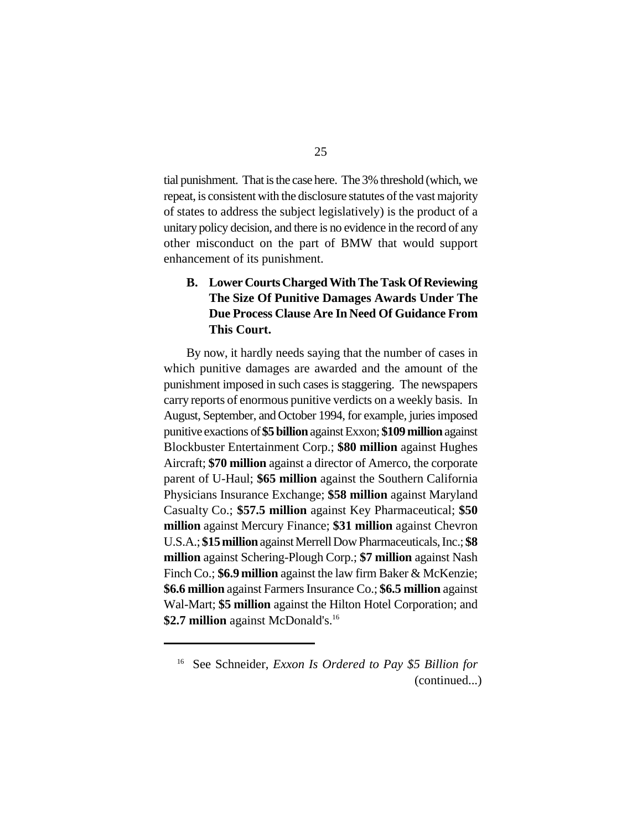tial punishment. That is the case here. The 3% threshold (which, we repeat, is consistent with the disclosure statutes of the vast majority of states to address the subject legislatively) is the product of a unitary policy decision, and there is no evidence in the record of any other misconduct on the part of BMW that would support enhancement of its punishment.

# **B. Lower CourtsCharged With The Task Of Reviewing The Size Of Punitive Damages Awards Under The Due Process Clause Are In Need Of Guidance From This Court.**

By now, it hardly needs saying that the number of cases in which punitive damages are awarded and the amount of the punishment imposed in such cases is staggering. The newspapers carry reports of enormous punitive verdicts on a weekly basis. In August, September, and October 1994, for example, juries imposed punitive exactions of **\$5 billion** against Exxon; **\$109 million** against Blockbuster Entertainment Corp.; **\$80 million** against Hughes Aircraft; **\$70 million** against a director of Amerco, the corporate parent of U-Haul; **\$65 million** against the Southern California Physicians Insurance Exchange; **\$58 million** against Maryland Casualty Co.; **\$57.5 million** against Key Pharmaceutical; **\$50 million** against Mercury Finance; **\$31 million** against Chevron U.S.A.; **\$15 million** against MerrellDow Pharmaceuticals, Inc.; **\$8 million** against Schering-Plough Corp.; **\$7 million** against Nash Finch Co.; **\$6.9 million** against the law firm Baker & McKenzie; **\$6.6 million** against Farmers Insurance Co.; **\$6.5 million** against Wal-Mart; **\$5 million** against the Hilton Hotel Corporation; and \$2.7 million against McDonald's.<sup>16</sup>

<sup>&</sup>lt;sup>16</sup> See Schneider, *Exxon Is Ordered to Pay \$5 Billion for* (continued...)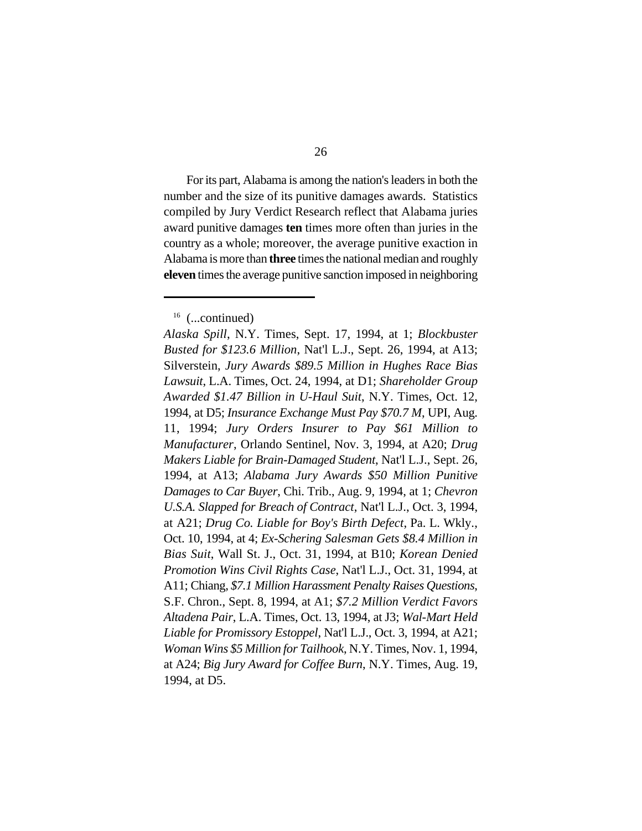For its part, Alabama is among the nation's leaders in both the number and the size of its punitive damages awards. Statistics compiled by Jury Verdict Research reflect that Alabama juries award punitive damages **ten** times more often than juries in the country as a whole; moreover, the average punitive exaction in Alabama is more than **three** times the national median and roughly **eleven** times the average punitive sanction imposed in neighboring

<sup>&</sup>lt;sup>16</sup> (...continued)

*Alaska Spill*, N.Y. Times, Sept. 17, 1994, at 1; *Blockbuster Busted for \$123.6 Million*, Nat'l L.J., Sept. 26, 1994, at A13; Silverstein, *Jury Awards \$89.5 Million in Hughes Race Bias Lawsuit*, L.A. Times, Oct. 24, 1994, at D1; *Shareholder Group Awarded \$1.47 Billion in U-Haul Suit*, N.Y. Times, Oct. 12, 1994, at D5; *Insurance Exchange Must Pay \$70.7 M*, UPI, Aug. 11, 1994; *Jury Orders Insurer to Pay \$61 Million to Manufacturer*, Orlando Sentinel, Nov. 3, 1994, at A20; *Drug Makers Liable for Brain-Damaged Student*, Nat'l L.J., Sept. 26, 1994, at A13; *Alabama Jury Awards \$50 Million Punitive Damages to Car Buyer*, Chi. Trib., Aug. 9, 1994, at 1; *Chevron U.S.A. Slapped for Breach of Contract*, Nat'l L.J., Oct. 3, 1994, at A21; *Drug Co. Liable for Boy's Birth Defect*, Pa. L. Wkly., Oct. 10, 1994, at 4; *Ex-Schering Salesman Gets \$8.4 Million in Bias Suit*, Wall St. J., Oct. 31, 1994, at B10; *Korean Denied Promotion Wins Civil Rights Case*, Nat'l L.J., Oct. 31, 1994, at A11; Chiang, *\$7.1 Million Harassment Penalty Raises Questions*, S.F. Chron., Sept. 8, 1994, at A1; *\$7.2 Million Verdict Favors Altadena Pair*, L.A. Times, Oct. 13, 1994, at J3; *Wal-Mart Held Liable for Promissory Estoppel*, Nat'l L.J., Oct. 3, 1994, at A21; *Woman Wins \$5 Million for Tailhook*, N.Y. Times, Nov. 1, 1994, at A24; *Big Jury Award for Coffee Burn*, N.Y. Times, Aug. 19, 1994, at D5.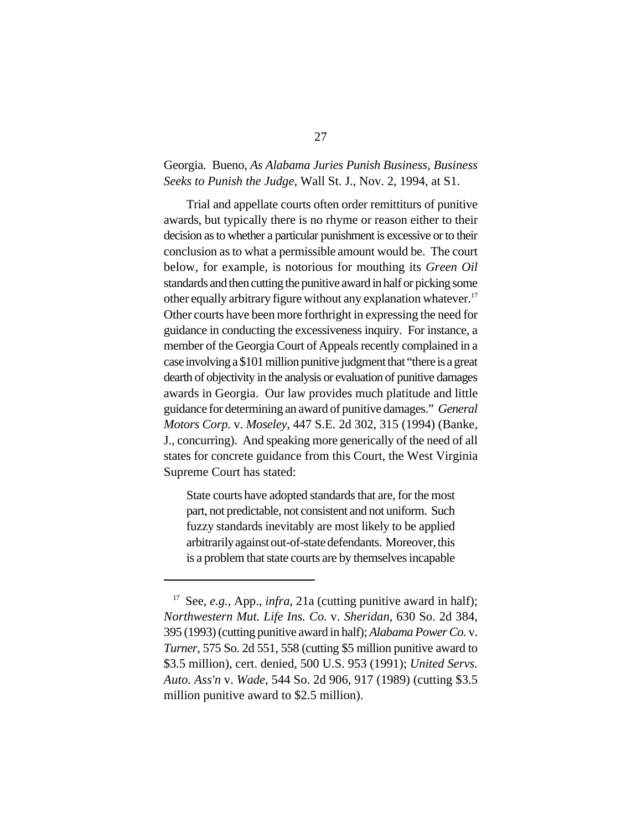### Georgia. Bueno, *As Alabama Juries Punish Business, Business Seeks to Punish the Judge*, Wall St. J., Nov. 2, 1994, at S1.

Trial and appellate courts often order remittiturs of punitive awards, but typically there is no rhyme or reason either to their decision as to whether a particular punishment is excessive or to their conclusion as to what a permissible amount would be. The court below, for example, is notorious for mouthing its *Green Oil* standards and then cutting the punitive award in half or picking some other equally arbitrary figure without any explanation whatever.<sup>17</sup> Other courts have been more forthright in expressing the need for guidance in conducting the excessiveness inquiry. For instance, a member of the Georgia Court of Appeals recently complained in a caseinvolving a \$101 million punitive judgment that "there is a great dearth of objectivity in the analysis or evaluation of punitive damages awards in Georgia. Our law provides much platitude and little guidance for determining an award of punitive damages." *General Motors Corp.* v. *Moseley*, 447 S.E. 2d 302, 315 (1994) (Banke, J., concurring). And speaking more generically of the need of all states for concrete guidance from this Court, the West Virginia Supreme Court has stated:

State courts have adopted standards that are, for the most part, not predictable, not consistent and not uniform. Such fuzzy standards inevitably are most likely to be applied arbitrarily against out-of-state defendants. Moreover, this is a problem that state courts are by themselves incapable

<sup>&</sup>lt;sup>17</sup> See, *e.g.*, App., *infra*, 21a (cutting punitive award in half); *Northwestern Mut. Life Ins. Co.* v. *Sheridan*, 630 So. 2d 384, 395 (1993) (cutting punitive award in half); *Alabama Power Co.* v. *Turner*, 575 So. 2d 551, 558 (cutting \$5 million punitive award to \$3.5 million), cert. denied, 500 U.S. 953 (1991); *United Servs. Auto. Ass'n* v. *Wade*, 544 So. 2d 906, 917 (1989) (cutting \$3.5 million punitive award to \$2.5 million).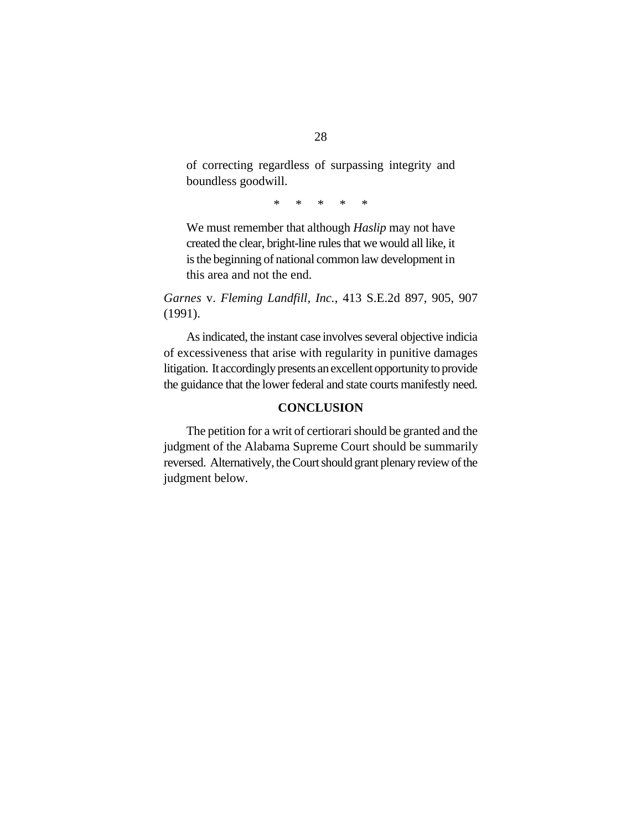of correcting regardless of surpassing integrity and boundless goodwill.

\* \* \* \* \*

We must remember that although *Haslip* may not have created the clear, bright-line rules that we would all like, it is the beginning of national common law development in this area and not the end.

*Garnes* v. *Fleming Landfill, Inc.*, 413 S.E.2d 897, 905, 907 (1991).

As indicated, the instant case involves several objective indicia of excessiveness that arise with regularity in punitive damages litigation. Itaccordingly presents an excellent opportunity to provide the guidance that the lower federal and state courts manifestly need.

### **CONCLUSION**

The petition for a writ of certiorari should be granted and the judgment of the Alabama Supreme Court should be summarily reversed. Alternatively, the Court should grant plenary review of the judgment below.